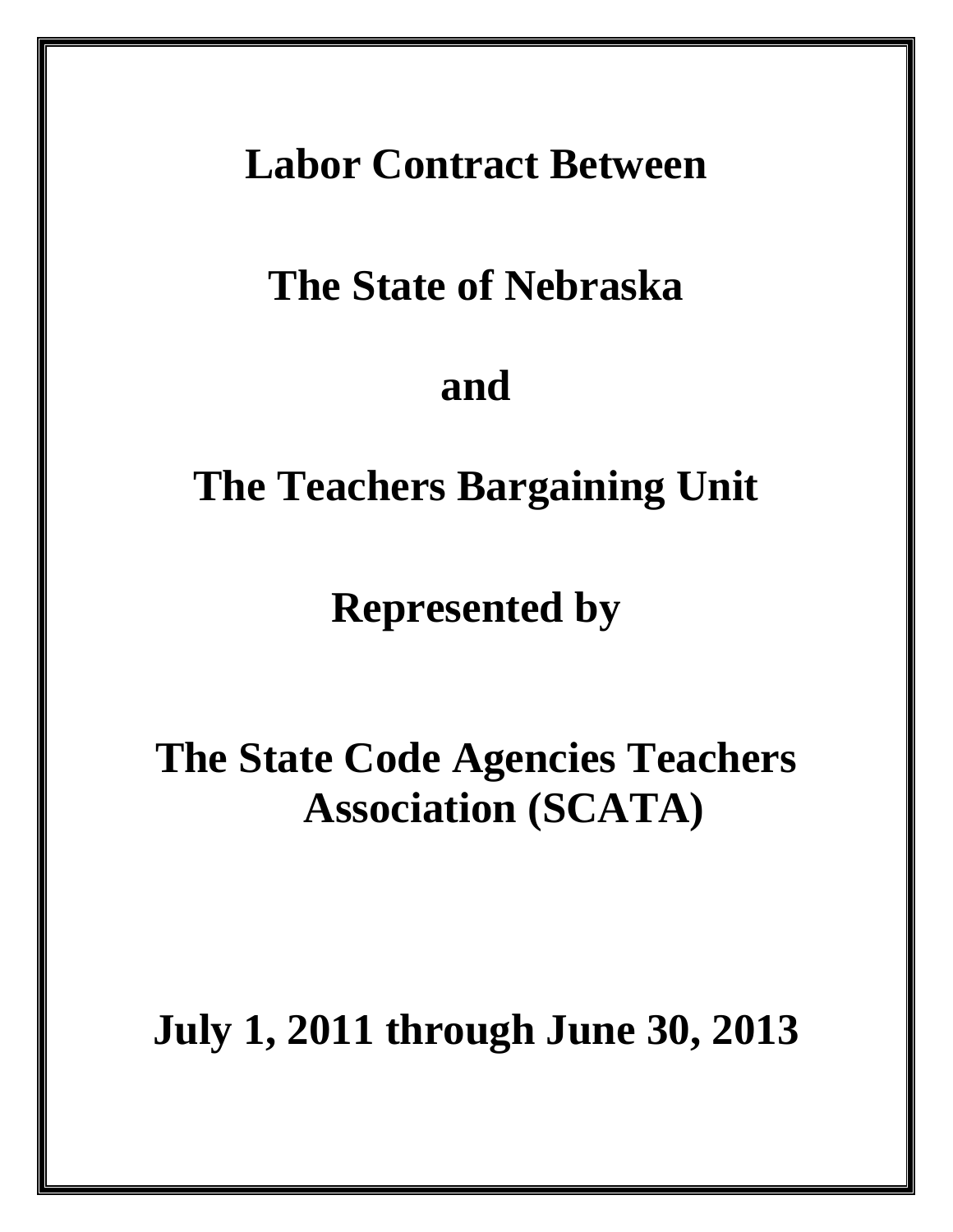## **Labor Contract Between**

## **The State of Nebraska**

## **and**

## **The Teachers Bargaining Unit**

### **Represented by**

# **The State Code Agencies Teachers Association (SCATA)**

## **July 1, 2011 through June 30, 2013**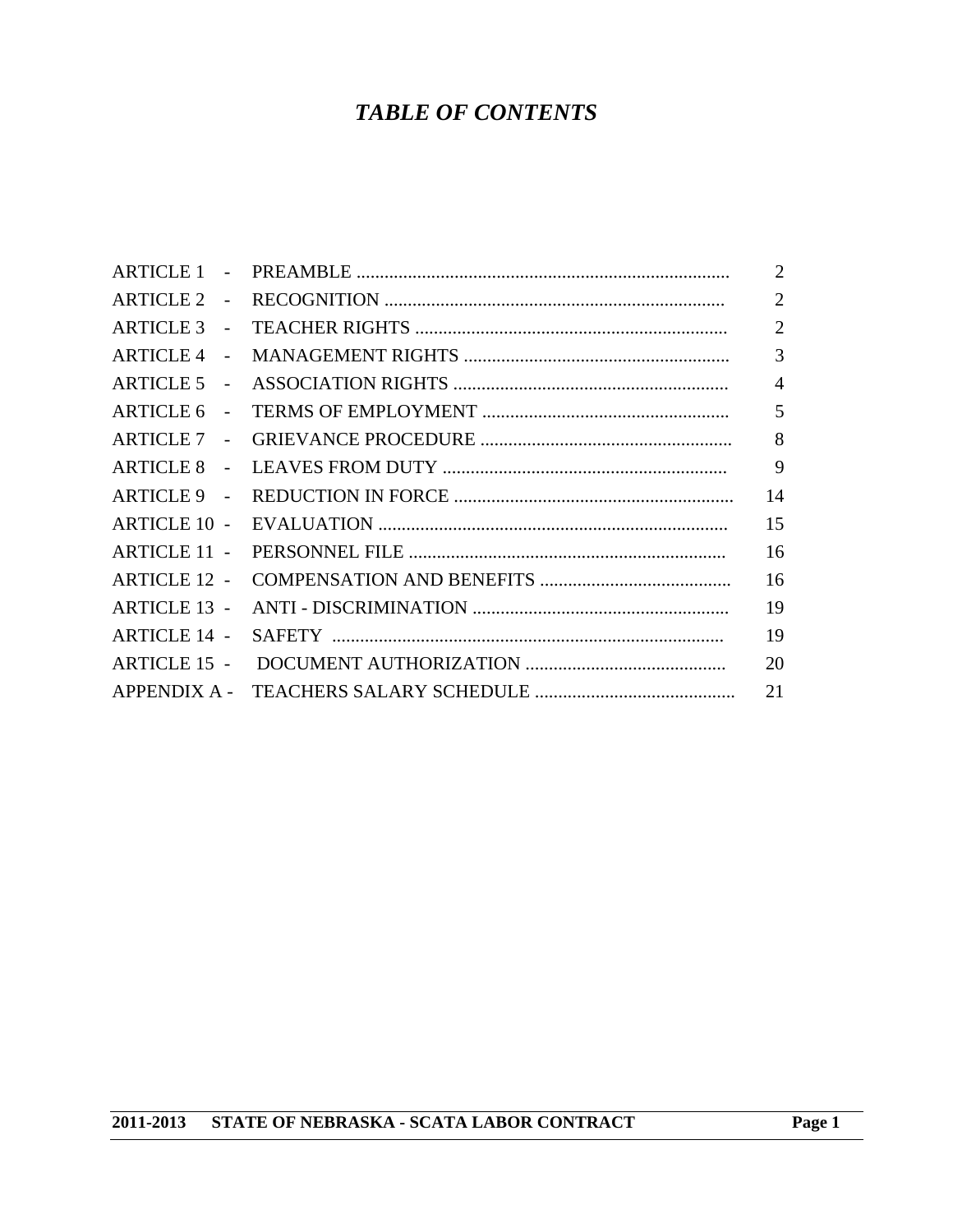### *TABLE OF CONTENTS*

|                                    | 2              |
|------------------------------------|----------------|
| <b>ARTICLE 2</b><br>$\sim$         | $\overline{2}$ |
| $ARTICLE 3 -$                      | $\overline{2}$ |
| <b>ARTICLE 4</b><br>$\sim$ $-$     | $\overline{3}$ |
| <b>ARTICLE 5</b><br>$\sim$ $\sim$  | $\overline{4}$ |
| <b>ARTICLE 6</b><br>$\sim$         | 5              |
| <b>ARTICLE 7</b><br>$\sim 10^{-1}$ | 8              |
| <b>ARTICLE 8</b>                   | 9              |
| ARTICLE 9 -                        | 14             |
| <b>ARTICLE 10 -</b>                | 15             |
| <b>ARTICLE 11 -</b>                | 16             |
| <b>ARTICLE 12 -</b>                | 16             |
| <b>ARTICLE 13 -</b>                | 19             |
| <b>ARTICLE 14 -</b>                | 19             |
| <b>ARTICLE 15 -</b>                | 20             |
|                                    | 21             |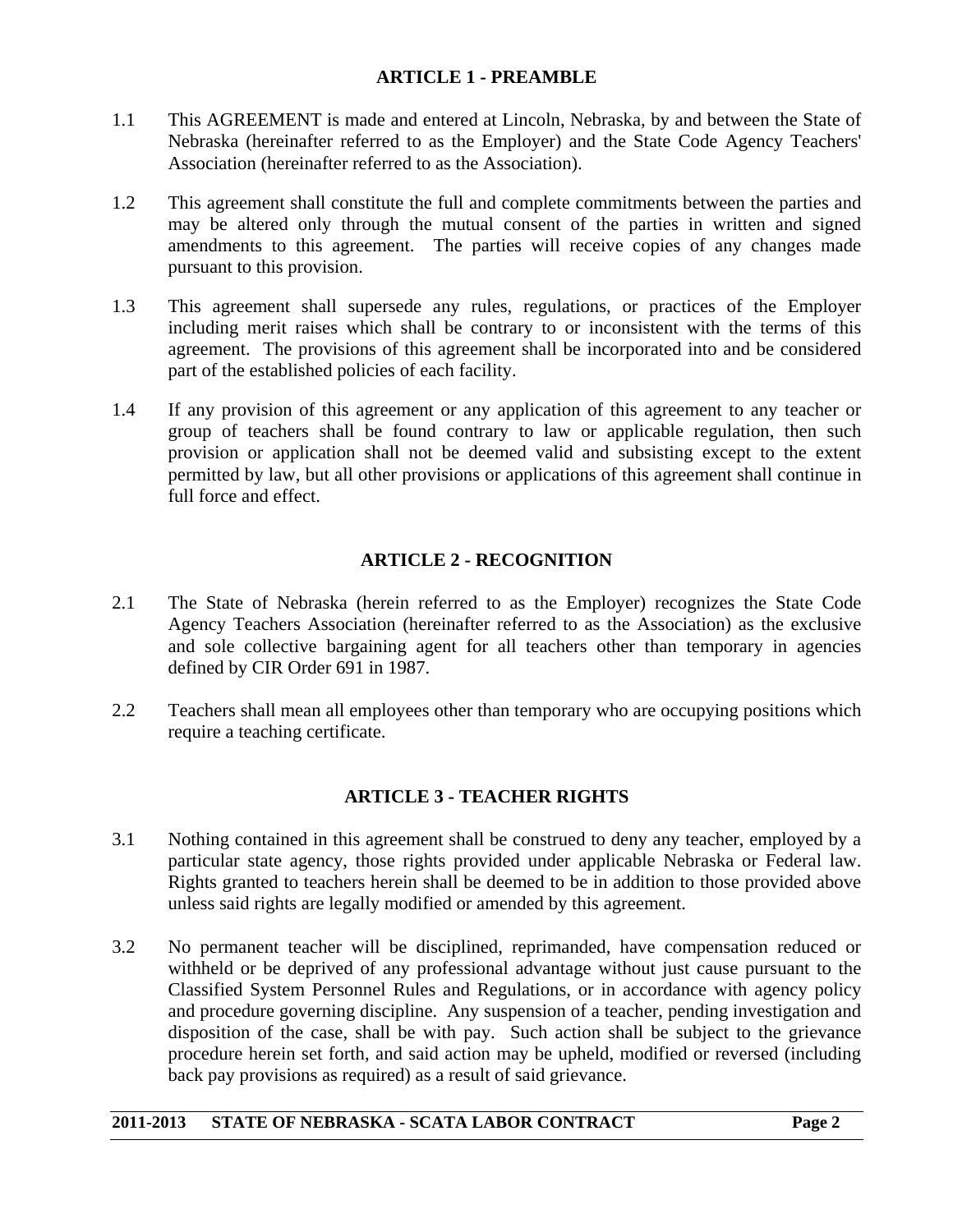#### **ARTICLE 1 - PREAMBLE**

- 1.1 This AGREEMENT is made and entered at Lincoln, Nebraska, by and between the State of Nebraska (hereinafter referred to as the Employer) and the State Code Agency Teachers' Association (hereinafter referred to as the Association).
- 1.2 This agreement shall constitute the full and complete commitments between the parties and may be altered only through the mutual consent of the parties in written and signed amendments to this agreement. The parties will receive copies of any changes made pursuant to this provision.
- 1.3 This agreement shall supersede any rules, regulations, or practices of the Employer including merit raises which shall be contrary to or inconsistent with the terms of this agreement. The provisions of this agreement shall be incorporated into and be considered part of the established policies of each facility.
- 1.4 If any provision of this agreement or any application of this agreement to any teacher or group of teachers shall be found contrary to law or applicable regulation, then such provision or application shall not be deemed valid and subsisting except to the extent permitted by law, but all other provisions or applications of this agreement shall continue in full force and effect.

#### **ARTICLE 2 - RECOGNITION**

- 2.1 The State of Nebraska (herein referred to as the Employer) recognizes the State Code Agency Teachers Association (hereinafter referred to as the Association) as the exclusive and sole collective bargaining agent for all teachers other than temporary in agencies defined by CIR Order 691 in 1987.
- 2.2 Teachers shall mean all employees other than temporary who are occupying positions which require a teaching certificate.

#### **ARTICLE 3 - TEACHER RIGHTS**

- 3.1 Nothing contained in this agreement shall be construed to deny any teacher, employed by a particular state agency, those rights provided under applicable Nebraska or Federal law. Rights granted to teachers herein shall be deemed to be in addition to those provided above unless said rights are legally modified or amended by this agreement.
- 3.2 No permanent teacher will be disciplined, reprimanded, have compensation reduced or withheld or be deprived of any professional advantage without just cause pursuant to the Classified System Personnel Rules and Regulations, or in accordance with agency policy and procedure governing discipline. Any suspension of a teacher, pending investigation and disposition of the case, shall be with pay. Such action shall be subject to the grievance procedure herein set forth, and said action may be upheld, modified or reversed (including back pay provisions as required) as a result of said grievance.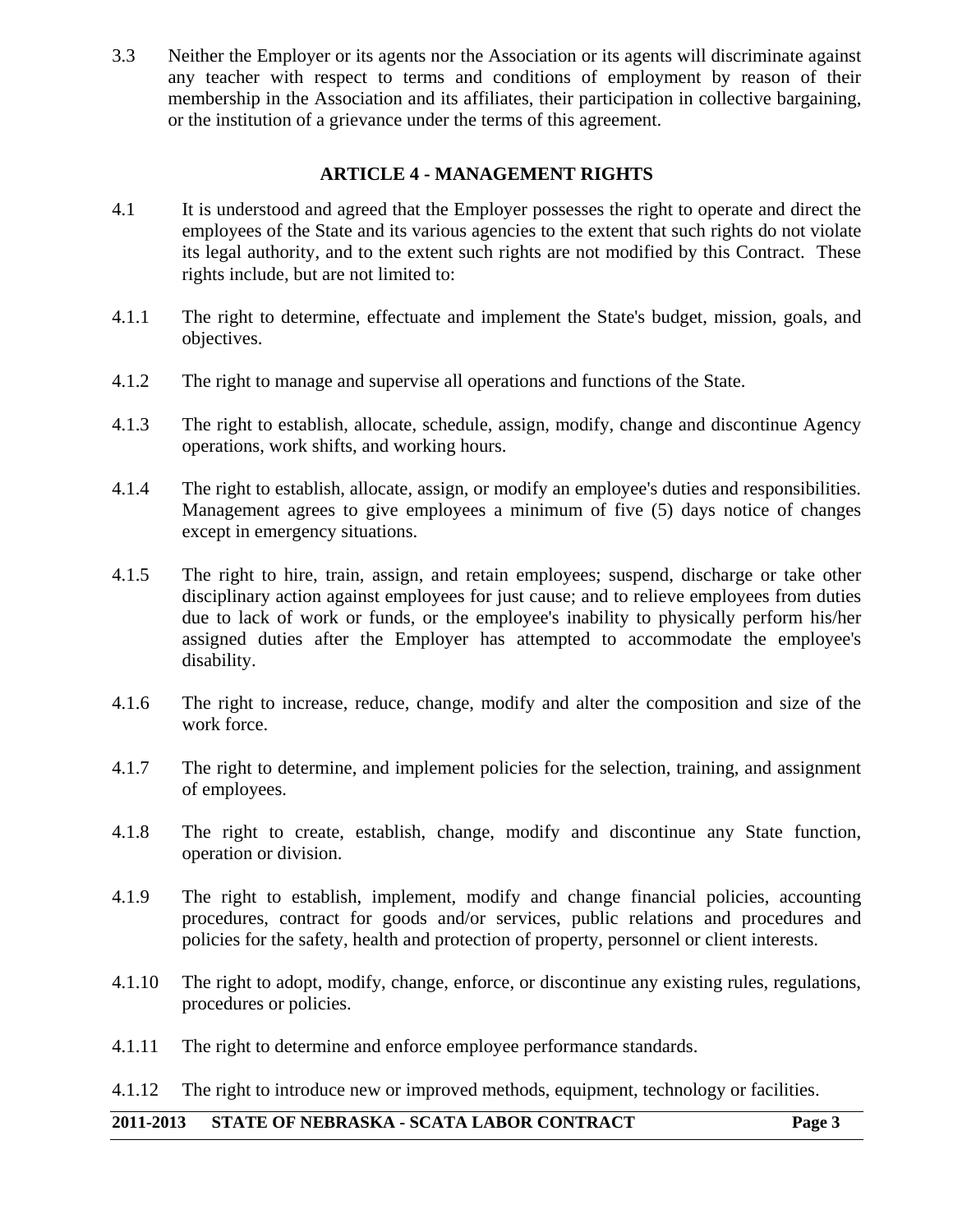3.3 Neither the Employer or its agents nor the Association or its agents will discriminate against any teacher with respect to terms and conditions of employment by reason of their membership in the Association and its affiliates, their participation in collective bargaining, or the institution of a grievance under the terms of this agreement.

#### **ARTICLE 4 - MANAGEMENT RIGHTS**

- 4.1 It is understood and agreed that the Employer possesses the right to operate and direct the employees of the State and its various agencies to the extent that such rights do not violate its legal authority, and to the extent such rights are not modified by this Contract. These rights include, but are not limited to:
- 4.1.1 The right to determine, effectuate and implement the State's budget, mission, goals, and objectives.
- 4.1.2 The right to manage and supervise all operations and functions of the State.
- 4.1.3 The right to establish, allocate, schedule, assign, modify, change and discontinue Agency operations, work shifts, and working hours.
- 4.1.4 The right to establish, allocate, assign, or modify an employee's duties and responsibilities. Management agrees to give employees a minimum of five (5) days notice of changes except in emergency situations.
- 4.1.5 The right to hire, train, assign, and retain employees; suspend, discharge or take other disciplinary action against employees for just cause; and to relieve employees from duties due to lack of work or funds, or the employee's inability to physically perform his/her assigned duties after the Employer has attempted to accommodate the employee's disability.
- 4.1.6 The right to increase, reduce, change, modify and alter the composition and size of the work force.
- 4.1.7 The right to determine, and implement policies for the selection, training, and assignment of employees.
- 4.1.8 The right to create, establish, change, modify and discontinue any State function, operation or division.
- 4.1.9 The right to establish, implement, modify and change financial policies, accounting procedures, contract for goods and/or services, public relations and procedures and policies for the safety, health and protection of property, personnel or client interests.
- 4.1.10 The right to adopt, modify, change, enforce, or discontinue any existing rules, regulations, procedures or policies.
- 4.1.11 The right to determine and enforce employee performance standards.
- 4.1.12 The right to introduce new or improved methods, equipment, technology or facilities.

#### **2011-2013 STATE OF NEBRASKA - SCATA LABOR CONTRACT Page 3**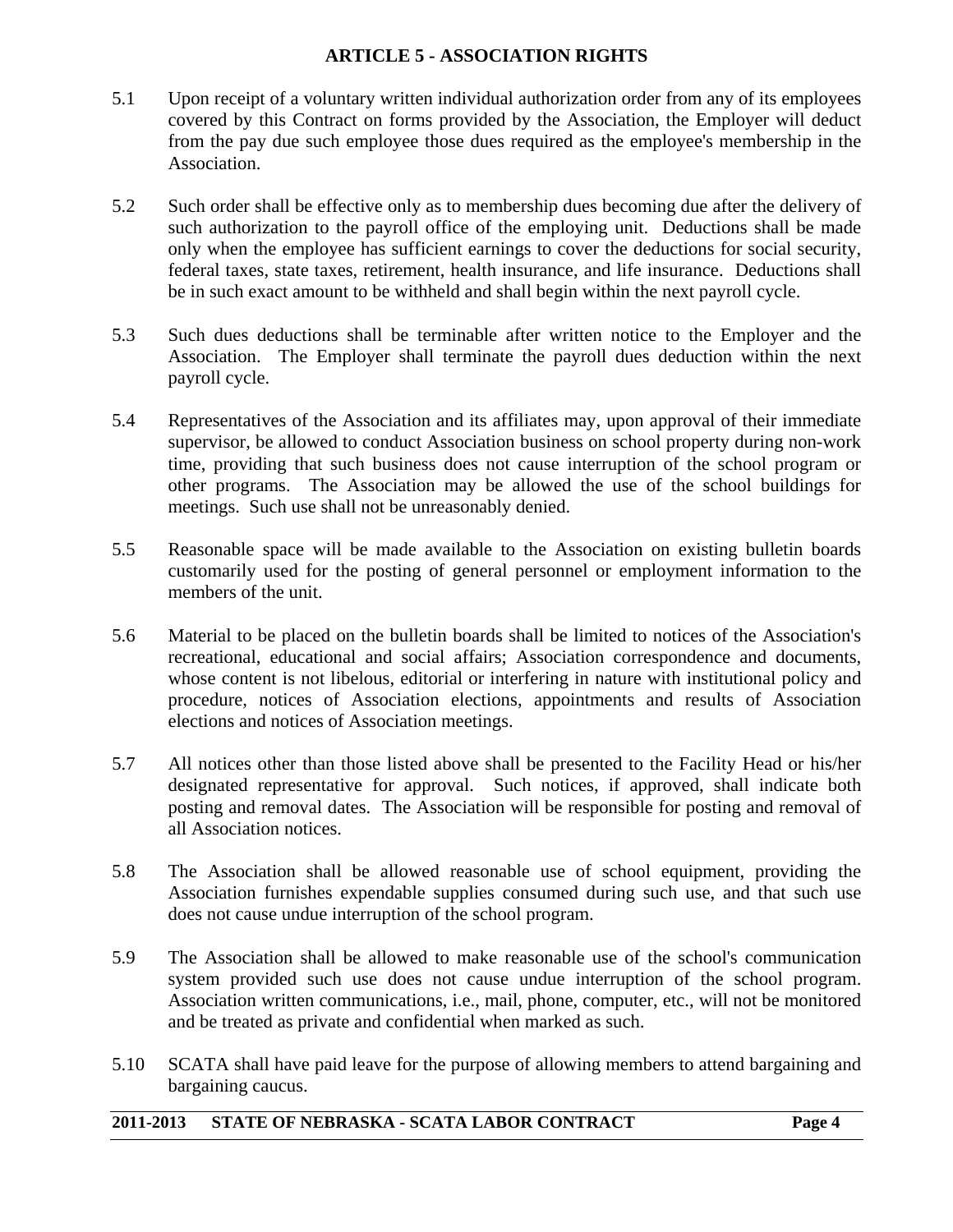#### **ARTICLE 5 - ASSOCIATION RIGHTS**

- 5.1 Upon receipt of a voluntary written individual authorization order from any of its employees covered by this Contract on forms provided by the Association, the Employer will deduct from the pay due such employee those dues required as the employee's membership in the Association.
- 5.2 Such order shall be effective only as to membership dues becoming due after the delivery of such authorization to the payroll office of the employing unit. Deductions shall be made only when the employee has sufficient earnings to cover the deductions for social security, federal taxes, state taxes, retirement, health insurance, and life insurance. Deductions shall be in such exact amount to be withheld and shall begin within the next payroll cycle.
- 5.3 Such dues deductions shall be terminable after written notice to the Employer and the Association. The Employer shall terminate the payroll dues deduction within the next payroll cycle.
- 5.4 Representatives of the Association and its affiliates may, upon approval of their immediate supervisor, be allowed to conduct Association business on school property during non-work time, providing that such business does not cause interruption of the school program or other programs. The Association may be allowed the use of the school buildings for meetings. Such use shall not be unreasonably denied.
- 5.5 Reasonable space will be made available to the Association on existing bulletin boards customarily used for the posting of general personnel or employment information to the members of the unit.
- 5.6 Material to be placed on the bulletin boards shall be limited to notices of the Association's recreational, educational and social affairs; Association correspondence and documents, whose content is not libelous, editorial or interfering in nature with institutional policy and procedure, notices of Association elections, appointments and results of Association elections and notices of Association meetings.
- 5.7 All notices other than those listed above shall be presented to the Facility Head or his/her designated representative for approval. Such notices, if approved, shall indicate both posting and removal dates. The Association will be responsible for posting and removal of all Association notices.
- 5.8 The Association shall be allowed reasonable use of school equipment, providing the Association furnishes expendable supplies consumed during such use, and that such use does not cause undue interruption of the school program.
- 5.9 The Association shall be allowed to make reasonable use of the school's communication system provided such use does not cause undue interruption of the school program. Association written communications, i.e., mail, phone, computer, etc., will not be monitored and be treated as private and confidential when marked as such.
- 5.10 SCATA shall have paid leave for the purpose of allowing members to attend bargaining and bargaining caucus.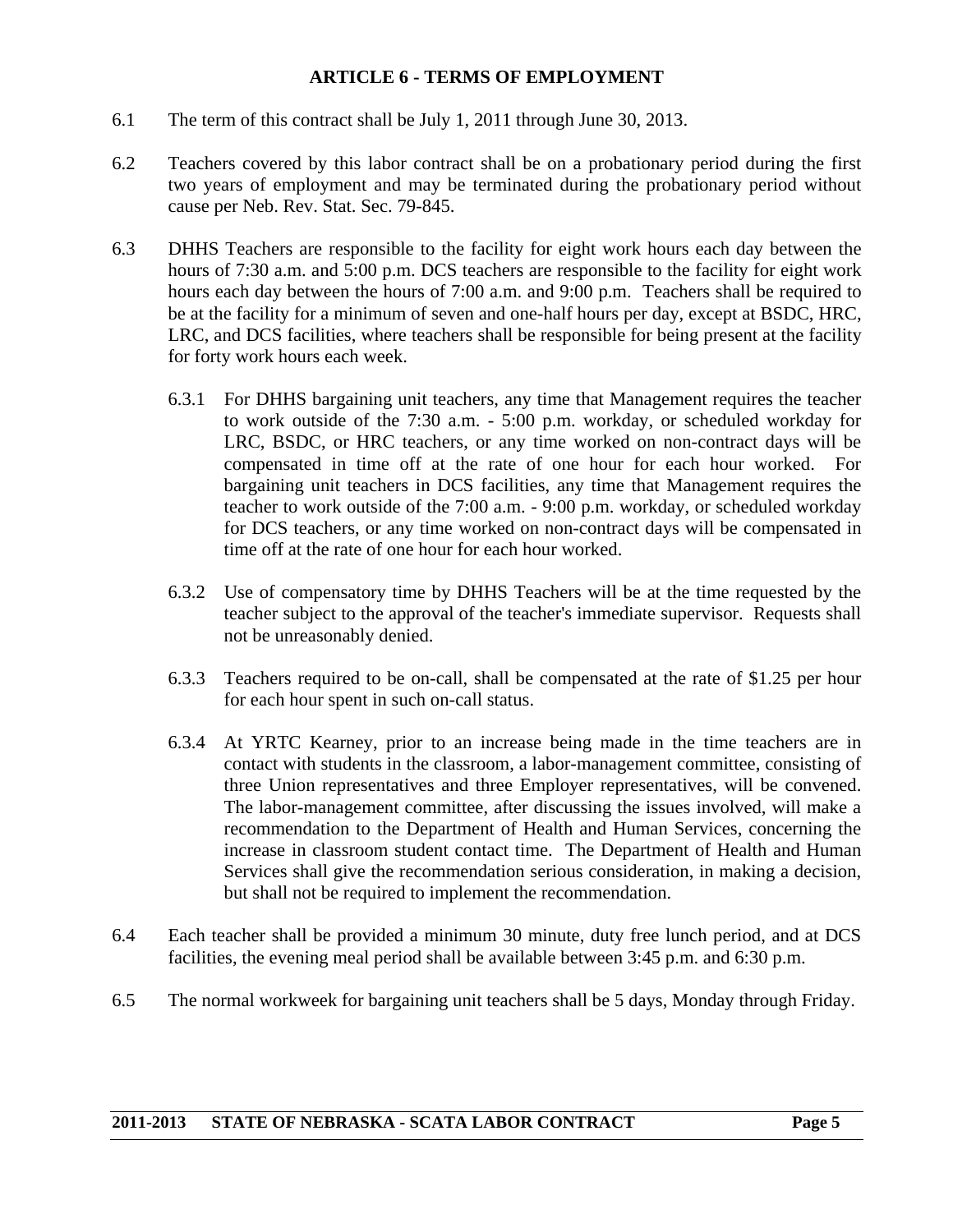#### **ARTICLE 6 - TERMS OF EMPLOYMENT**

- 6.1 The term of this contract shall be July 1, 2011 through June 30, 2013.
- 6.2 Teachers covered by this labor contract shall be on a probationary period during the first two years of employment and may be terminated during the probationary period without cause per Neb. Rev. Stat. Sec. 79-845.
- 6.3 DHHS Teachers are responsible to the facility for eight work hours each day between the hours of 7:30 a.m. and 5:00 p.m. DCS teachers are responsible to the facility for eight work hours each day between the hours of 7:00 a.m. and 9:00 p.m. Teachers shall be required to be at the facility for a minimum of seven and one-half hours per day, except at BSDC, HRC, LRC, and DCS facilities, where teachers shall be responsible for being present at the facility for forty work hours each week.
	- 6.3.1 For DHHS bargaining unit teachers, any time that Management requires the teacher to work outside of the 7:30 a.m. - 5:00 p.m. workday, or scheduled workday for LRC, BSDC, or HRC teachers, or any time worked on non-contract days will be compensated in time off at the rate of one hour for each hour worked. For bargaining unit teachers in DCS facilities, any time that Management requires the teacher to work outside of the 7:00 a.m. - 9:00 p.m. workday, or scheduled workday for DCS teachers, or any time worked on non-contract days will be compensated in time off at the rate of one hour for each hour worked.
	- 6.3.2 Use of compensatory time by DHHS Teachers will be at the time requested by the teacher subject to the approval of the teacher's immediate supervisor. Requests shall not be unreasonably denied.
	- 6.3.3 Teachers required to be on-call, shall be compensated at the rate of \$1.25 per hour for each hour spent in such on-call status.
	- 6.3.4 At YRTC Kearney, prior to an increase being made in the time teachers are in contact with students in the classroom, a labor-management committee, consisting of three Union representatives and three Employer representatives, will be convened. The labor-management committee, after discussing the issues involved, will make a recommendation to the Department of Health and Human Services, concerning the increase in classroom student contact time. The Department of Health and Human Services shall give the recommendation serious consideration, in making a decision, but shall not be required to implement the recommendation.
- 6.4 Each teacher shall be provided a minimum 30 minute, duty free lunch period, and at DCS facilities, the evening meal period shall be available between 3:45 p.m. and 6:30 p.m.
- 6.5 The normal workweek for bargaining unit teachers shall be 5 days, Monday through Friday.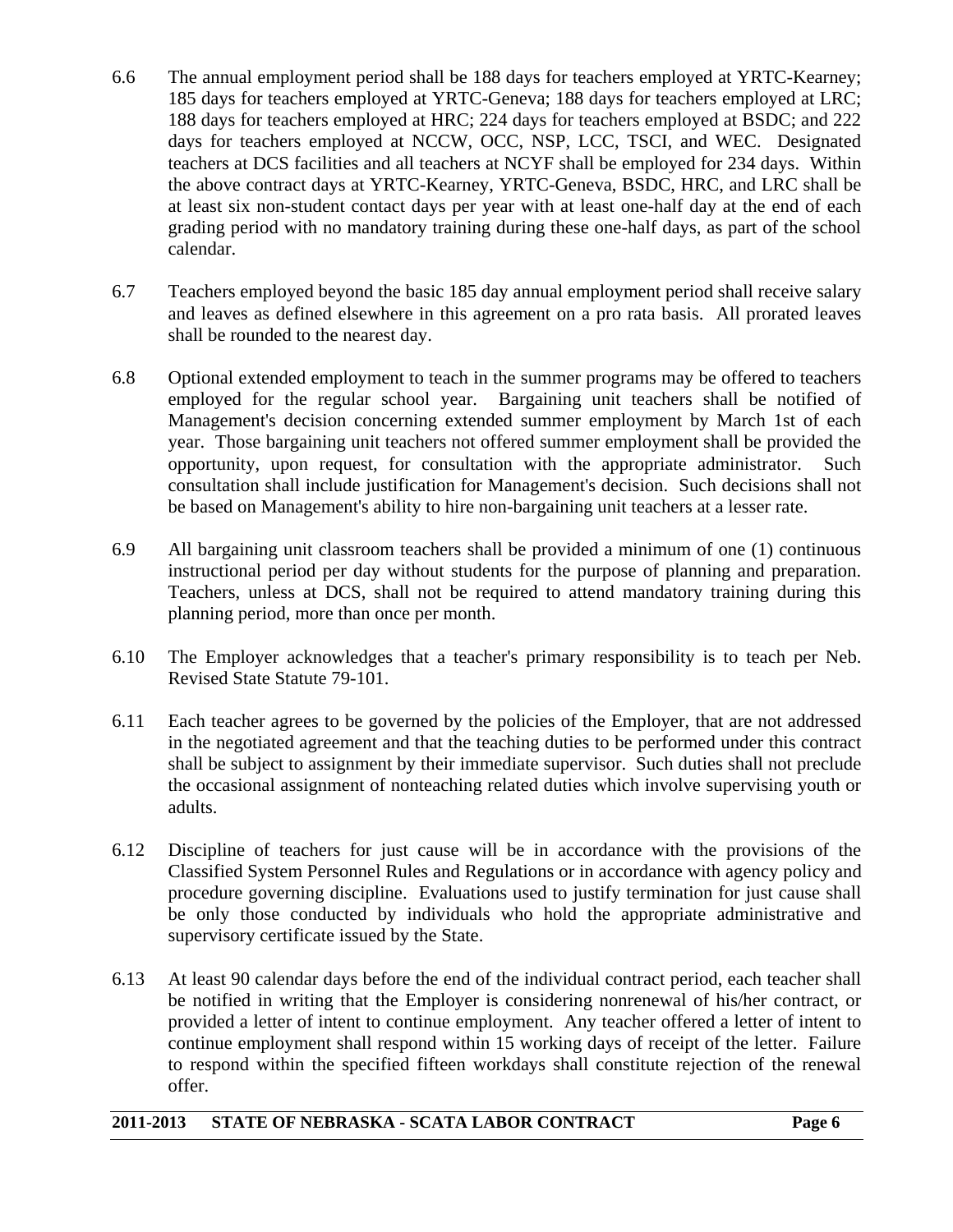- 6.6 The annual employment period shall be 188 days for teachers employed at YRTC-Kearney; 185 days for teachers employed at YRTC-Geneva; 188 days for teachers employed at LRC; 188 days for teachers employed at HRC; 224 days for teachers employed at BSDC; and 222 days for teachers employed at NCCW, OCC, NSP, LCC, TSCI, and WEC. Designated teachers at DCS facilities and all teachers at NCYF shall be employed for 234 days. Within the above contract days at YRTC-Kearney, YRTC-Geneva, BSDC, HRC, and LRC shall be at least six non-student contact days per year with at least one-half day at the end of each grading period with no mandatory training during these one-half days, as part of the school calendar.
- 6.7 Teachers employed beyond the basic 185 day annual employment period shall receive salary and leaves as defined elsewhere in this agreement on a pro rata basis. All prorated leaves shall be rounded to the nearest day.
- 6.8 Optional extended employment to teach in the summer programs may be offered to teachers employed for the regular school year. Bargaining unit teachers shall be notified of Management's decision concerning extended summer employment by March 1st of each year. Those bargaining unit teachers not offered summer employment shall be provided the opportunity, upon request, for consultation with the appropriate administrator. Such consultation shall include justification for Management's decision. Such decisions shall not be based on Management's ability to hire non-bargaining unit teachers at a lesser rate.
- 6.9 All bargaining unit classroom teachers shall be provided a minimum of one (1) continuous instructional period per day without students for the purpose of planning and preparation. Teachers, unless at DCS, shall not be required to attend mandatory training during this planning period, more than once per month.
- 6.10 The Employer acknowledges that a teacher's primary responsibility is to teach per Neb. Revised State Statute 79-101.
- 6.11 Each teacher agrees to be governed by the policies of the Employer, that are not addressed in the negotiated agreement and that the teaching duties to be performed under this contract shall be subject to assignment by their immediate supervisor. Such duties shall not preclude the occasional assignment of nonteaching related duties which involve supervising youth or adults.
- 6.12 Discipline of teachers for just cause will be in accordance with the provisions of the Classified System Personnel Rules and Regulations or in accordance with agency policy and procedure governing discipline. Evaluations used to justify termination for just cause shall be only those conducted by individuals who hold the appropriate administrative and supervisory certificate issued by the State.
- 6.13 At least 90 calendar days before the end of the individual contract period, each teacher shall be notified in writing that the Employer is considering nonrenewal of his/her contract, or provided a letter of intent to continue employment. Any teacher offered a letter of intent to continue employment shall respond within 15 working days of receipt of the letter. Failure to respond within the specified fifteen workdays shall constitute rejection of the renewal offer.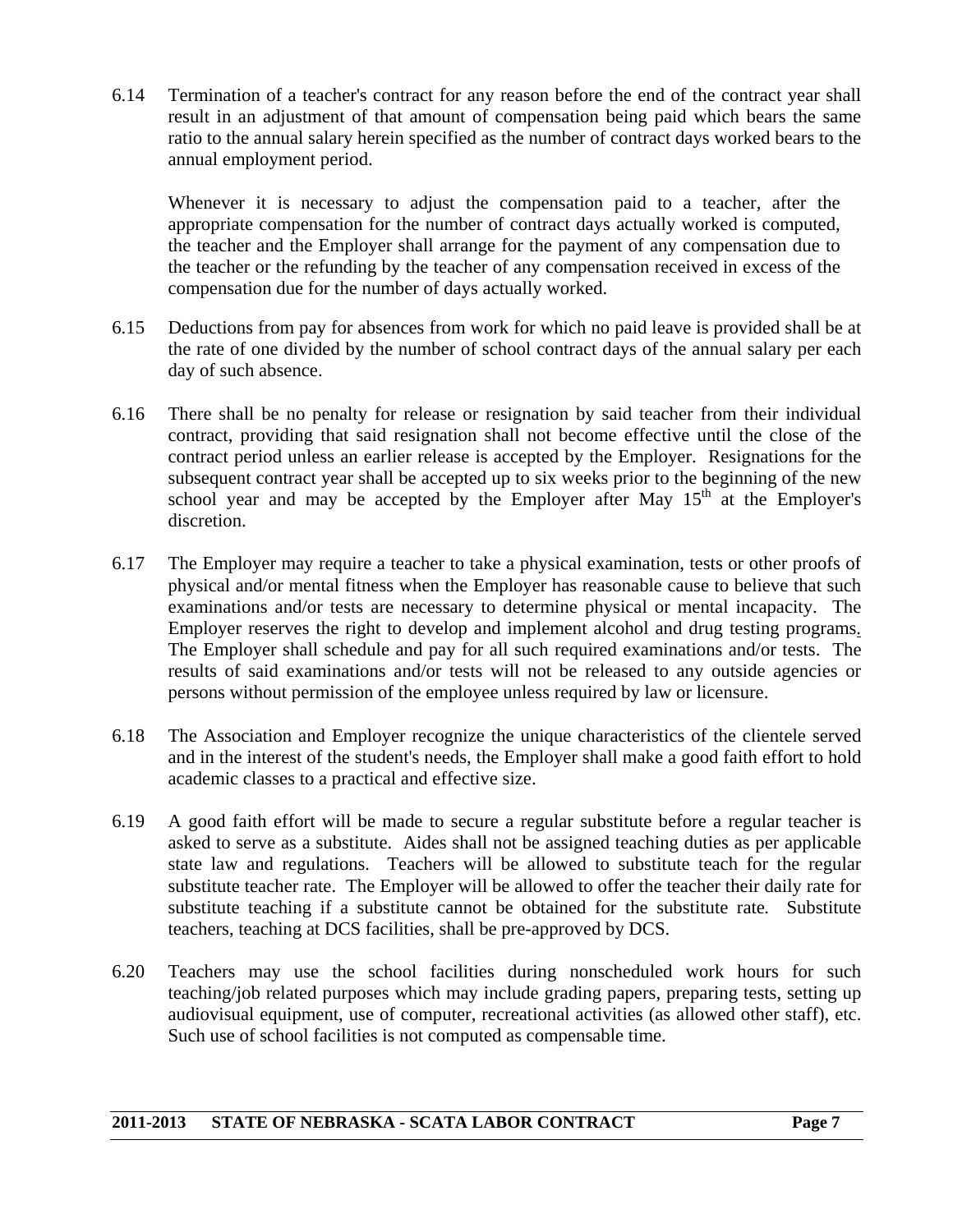6.14 Termination of a teacher's contract for any reason before the end of the contract year shall result in an adjustment of that amount of compensation being paid which bears the same ratio to the annual salary herein specified as the number of contract days worked bears to the annual employment period.

Whenever it is necessary to adjust the compensation paid to a teacher, after the appropriate compensation for the number of contract days actually worked is computed, the teacher and the Employer shall arrange for the payment of any compensation due to the teacher or the refunding by the teacher of any compensation received in excess of the compensation due for the number of days actually worked.

- 6.15 Deductions from pay for absences from work for which no paid leave is provided shall be at the rate of one divided by the number of school contract days of the annual salary per each day of such absence.
- 6.16 There shall be no penalty for release or resignation by said teacher from their individual contract, providing that said resignation shall not become effective until the close of the contract period unless an earlier release is accepted by the Employer. Resignations for the subsequent contract year shall be accepted up to six weeks prior to the beginning of the new school year and may be accepted by the Employer after May  $15<sup>th</sup>$  at the Employer's discretion.
- 6.17 The Employer may require a teacher to take a physical examination, tests or other proofs of physical and/or mental fitness when the Employer has reasonable cause to believe that such examinations and/or tests are necessary to determine physical or mental incapacity. The Employer reserves the right to develop and implement alcohol and drug testing programs. The Employer shall schedule and pay for all such required examinations and/or tests. The results of said examinations and/or tests will not be released to any outside agencies or persons without permission of the employee unless required by law or licensure.
- 6.18 The Association and Employer recognize the unique characteristics of the clientele served and in the interest of the student's needs, the Employer shall make a good faith effort to hold academic classes to a practical and effective size.
- 6.19 A good faith effort will be made to secure a regular substitute before a regular teacher is asked to serve as a substitute. Aides shall not be assigned teaching duties as per applicable state law and regulations. Teachers will be allowed to substitute teach for the regular substitute teacher rate. The Employer will be allowed to offer the teacher their daily rate for substitute teaching if a substitute cannot be obtained for the substitute rate*.* Substitute teachers, teaching at DCS facilities, shall be pre-approved by DCS.
- 6.20 Teachers may use the school facilities during nonscheduled work hours for such teaching/job related purposes which may include grading papers, preparing tests, setting up audiovisual equipment, use of computer, recreational activities (as allowed other staff), etc. Such use of school facilities is not computed as compensable time.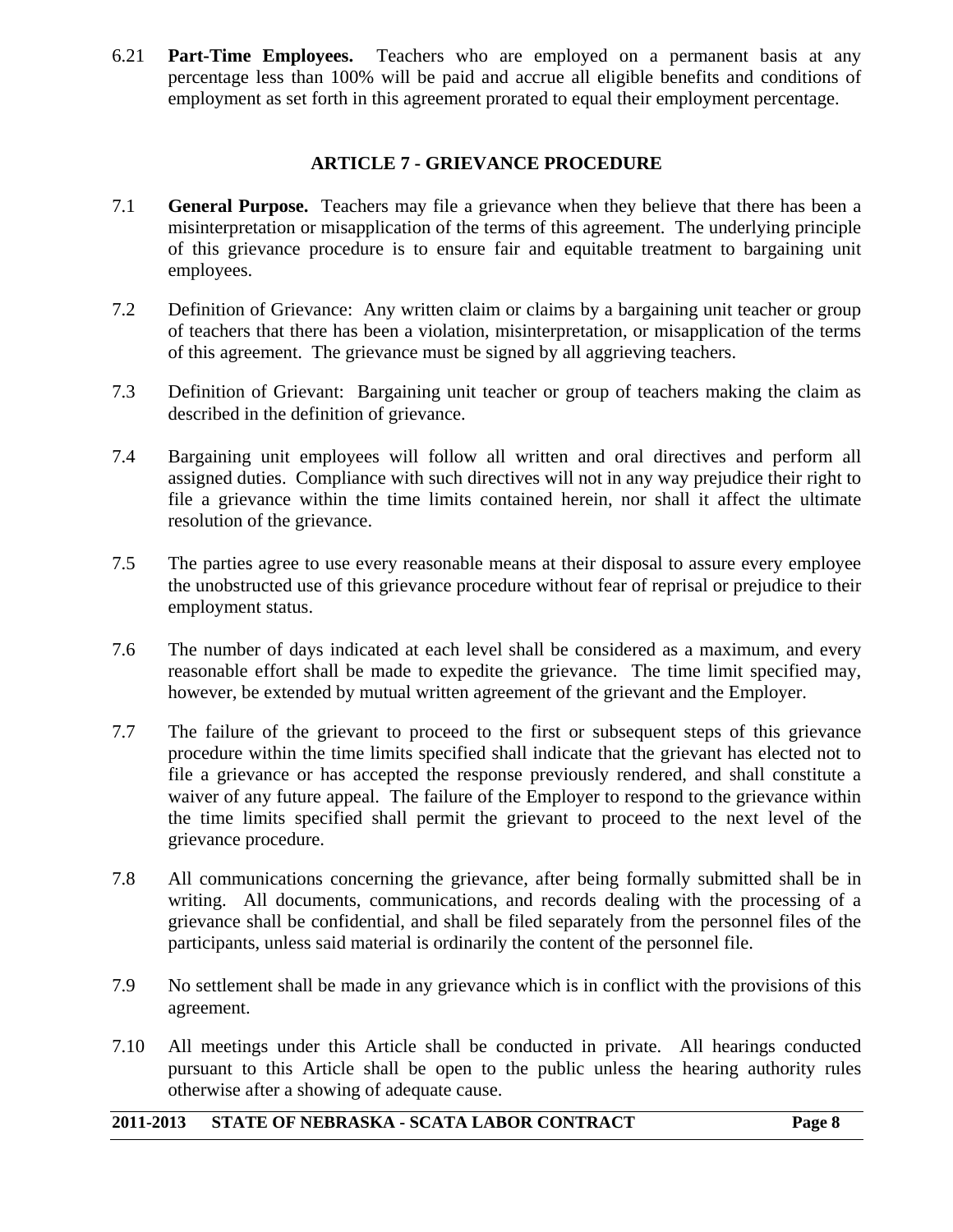6.21 **Part-Time Employees.** Teachers who are employed on a permanent basis at any percentage less than 100% will be paid and accrue all eligible benefits and conditions of employment as set forth in this agreement prorated to equal their employment percentage.

#### **ARTICLE 7 - GRIEVANCE PROCEDURE**

- 7.1 **General Purpose.** Teachers may file a grievance when they believe that there has been a misinterpretation or misapplication of the terms of this agreement. The underlying principle of this grievance procedure is to ensure fair and equitable treatment to bargaining unit employees.
- 7.2 Definition of Grievance: Any written claim or claims by a bargaining unit teacher or group of teachers that there has been a violation, misinterpretation, or misapplication of the terms of this agreement. The grievance must be signed by all aggrieving teachers.
- 7.3 Definition of Grievant: Bargaining unit teacher or group of teachers making the claim as described in the definition of grievance.
- 7.4 Bargaining unit employees will follow all written and oral directives and perform all assigned duties. Compliance with such directives will not in any way prejudice their right to file a grievance within the time limits contained herein, nor shall it affect the ultimate resolution of the grievance.
- 7.5 The parties agree to use every reasonable means at their disposal to assure every employee the unobstructed use of this grievance procedure without fear of reprisal or prejudice to their employment status.
- 7.6 The number of days indicated at each level shall be considered as a maximum, and every reasonable effort shall be made to expedite the grievance. The time limit specified may, however, be extended by mutual written agreement of the grievant and the Employer.
- 7.7 The failure of the grievant to proceed to the first or subsequent steps of this grievance procedure within the time limits specified shall indicate that the grievant has elected not to file a grievance or has accepted the response previously rendered, and shall constitute a waiver of any future appeal. The failure of the Employer to respond to the grievance within the time limits specified shall permit the grievant to proceed to the next level of the grievance procedure.
- 7.8 All communications concerning the grievance, after being formally submitted shall be in writing. All documents, communications, and records dealing with the processing of a grievance shall be confidential, and shall be filed separately from the personnel files of the participants, unless said material is ordinarily the content of the personnel file.
- 7.9 No settlement shall be made in any grievance which is in conflict with the provisions of this agreement.
- 7.10 All meetings under this Article shall be conducted in private. All hearings conducted pursuant to this Article shall be open to the public unless the hearing authority rules otherwise after a showing of adequate cause.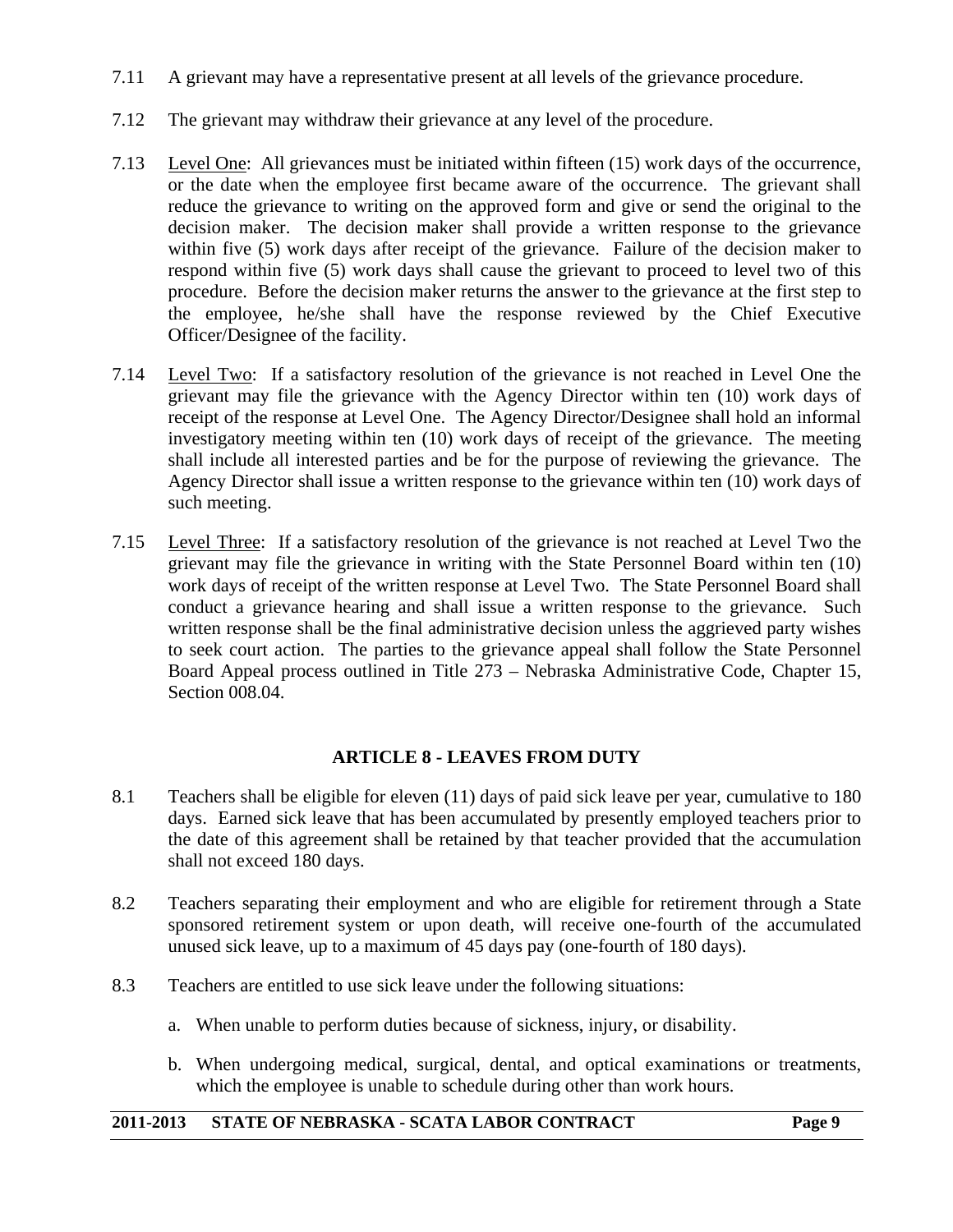- 7.11 A grievant may have a representative present at all levels of the grievance procedure.
- 7.12 The grievant may withdraw their grievance at any level of the procedure.
- 7.13 Level One: All grievances must be initiated within fifteen (15) work days of the occurrence, or the date when the employee first became aware of the occurrence. The grievant shall reduce the grievance to writing on the approved form and give or send the original to the decision maker. The decision maker shall provide a written response to the grievance within five (5) work days after receipt of the grievance. Failure of the decision maker to respond within five (5) work days shall cause the grievant to proceed to level two of this procedure. Before the decision maker returns the answer to the grievance at the first step to the employee, he/she shall have the response reviewed by the Chief Executive Officer/Designee of the facility.
- 7.14 Level Two: If a satisfactory resolution of the grievance is not reached in Level One the grievant may file the grievance with the Agency Director within ten (10) work days of receipt of the response at Level One. The Agency Director/Designee shall hold an informal investigatory meeting within ten (10) work days of receipt of the grievance. The meeting shall include all interested parties and be for the purpose of reviewing the grievance. The Agency Director shall issue a written response to the grievance within ten (10) work days of such meeting.
- 7.15 Level Three: If a satisfactory resolution of the grievance is not reached at Level Two the grievant may file the grievance in writing with the State Personnel Board within ten (10) work days of receipt of the written response at Level Two. The State Personnel Board shall conduct a grievance hearing and shall issue a written response to the grievance. Such written response shall be the final administrative decision unless the aggrieved party wishes to seek court action. The parties to the grievance appeal shall follow the State Personnel Board Appeal process outlined in Title 273 – Nebraska Administrative Code, Chapter 15, Section 008.04.

#### **ARTICLE 8 - LEAVES FROM DUTY**

- 8.1 Teachers shall be eligible for eleven (11) days of paid sick leave per year, cumulative to 180 days. Earned sick leave that has been accumulated by presently employed teachers prior to the date of this agreement shall be retained by that teacher provided that the accumulation shall not exceed 180 days.
- 8.2 Teachers separating their employment and who are eligible for retirement through a State sponsored retirement system or upon death, will receive one-fourth of the accumulated unused sick leave, up to a maximum of 45 days pay (one-fourth of 180 days).
- 8.3 Teachers are entitled to use sick leave under the following situations:
	- a. When unable to perform duties because of sickness, injury, or disability.
	- b. When undergoing medical, surgical, dental, and optical examinations or treatments, which the employee is unable to schedule during other than work hours.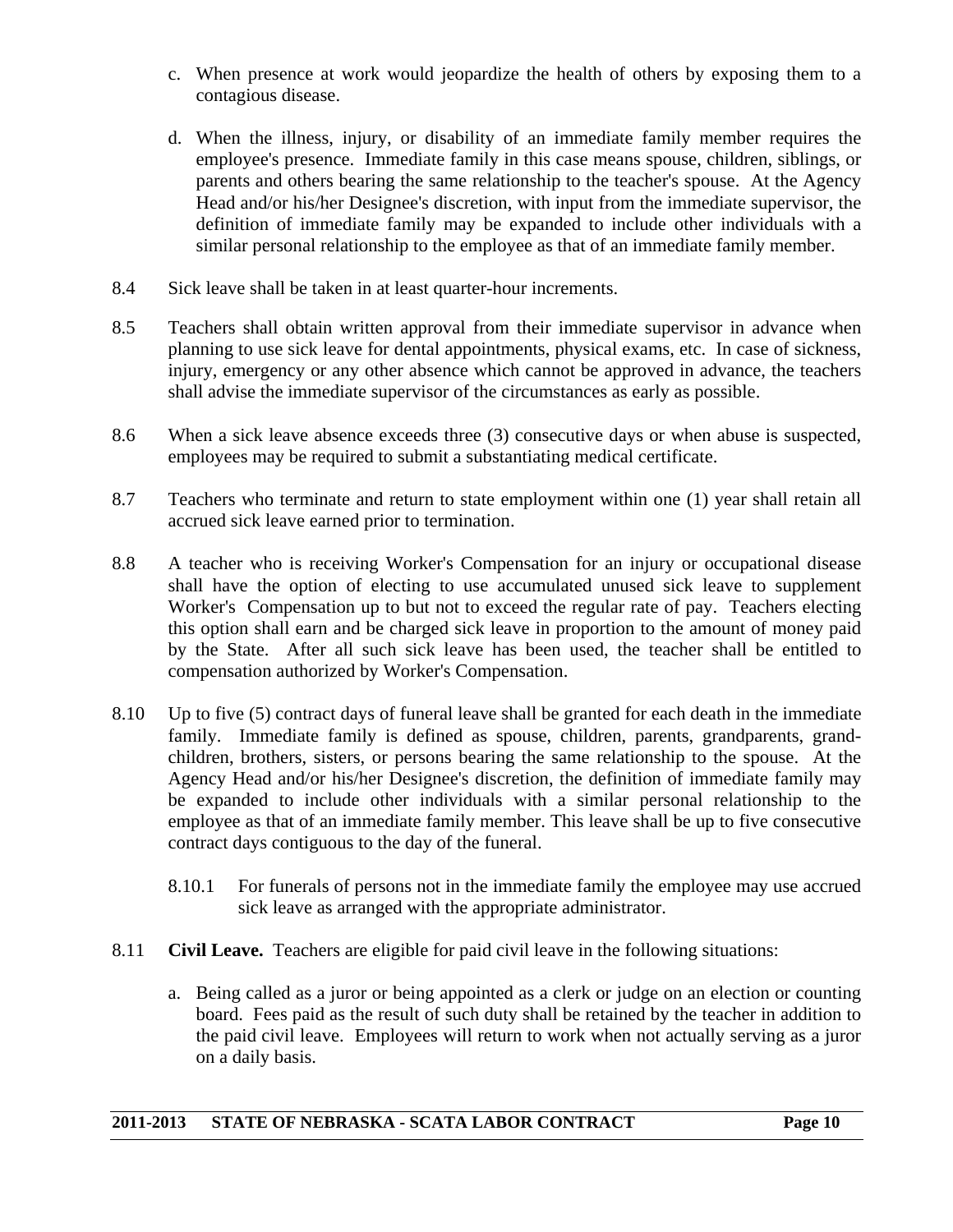- c. When presence at work would jeopardize the health of others by exposing them to a contagious disease.
- d. When the illness, injury, or disability of an immediate family member requires the employee's presence. Immediate family in this case means spouse, children, siblings, or parents and others bearing the same relationship to the teacher's spouse. At the Agency Head and/or his/her Designee's discretion, with input from the immediate supervisor, the definition of immediate family may be expanded to include other individuals with a similar personal relationship to the employee as that of an immediate family member.
- 8.4 Sick leave shall be taken in at least quarter-hour increments.
- 8.5 Teachers shall obtain written approval from their immediate supervisor in advance when planning to use sick leave for dental appointments, physical exams, etc. In case of sickness, injury, emergency or any other absence which cannot be approved in advance, the teachers shall advise the immediate supervisor of the circumstances as early as possible.
- 8.6 When a sick leave absence exceeds three (3) consecutive days or when abuse is suspected, employees may be required to submit a substantiating medical certificate.
- 8.7 Teachers who terminate and return to state employment within one (1) year shall retain all accrued sick leave earned prior to termination.
- 8.8 A teacher who is receiving Worker's Compensation for an injury or occupational disease shall have the option of electing to use accumulated unused sick leave to supplement Worker's Compensation up to but not to exceed the regular rate of pay. Teachers electing this option shall earn and be charged sick leave in proportion to the amount of money paid by the State. After all such sick leave has been used, the teacher shall be entitled to compensation authorized by Worker's Compensation.
- 8.10 Up to five (5) contract days of funeral leave shall be granted for each death in the immediate family. Immediate family is defined as spouse, children, parents, grandparents, grandchildren, brothers, sisters, or persons bearing the same relationship to the spouse. At the Agency Head and/or his/her Designee's discretion, the definition of immediate family may be expanded to include other individuals with a similar personal relationship to the employee as that of an immediate family member. This leave shall be up to five consecutive contract days contiguous to the day of the funeral.
	- 8.10.1 For funerals of persons not in the immediate family the employee may use accrued sick leave as arranged with the appropriate administrator.
- 8.11 **Civil Leave.** Teachers are eligible for paid civil leave in the following situations:
	- a. Being called as a juror or being appointed as a clerk or judge on an election or counting board. Fees paid as the result of such duty shall be retained by the teacher in addition to the paid civil leave. Employees will return to work when not actually serving as a juror on a daily basis.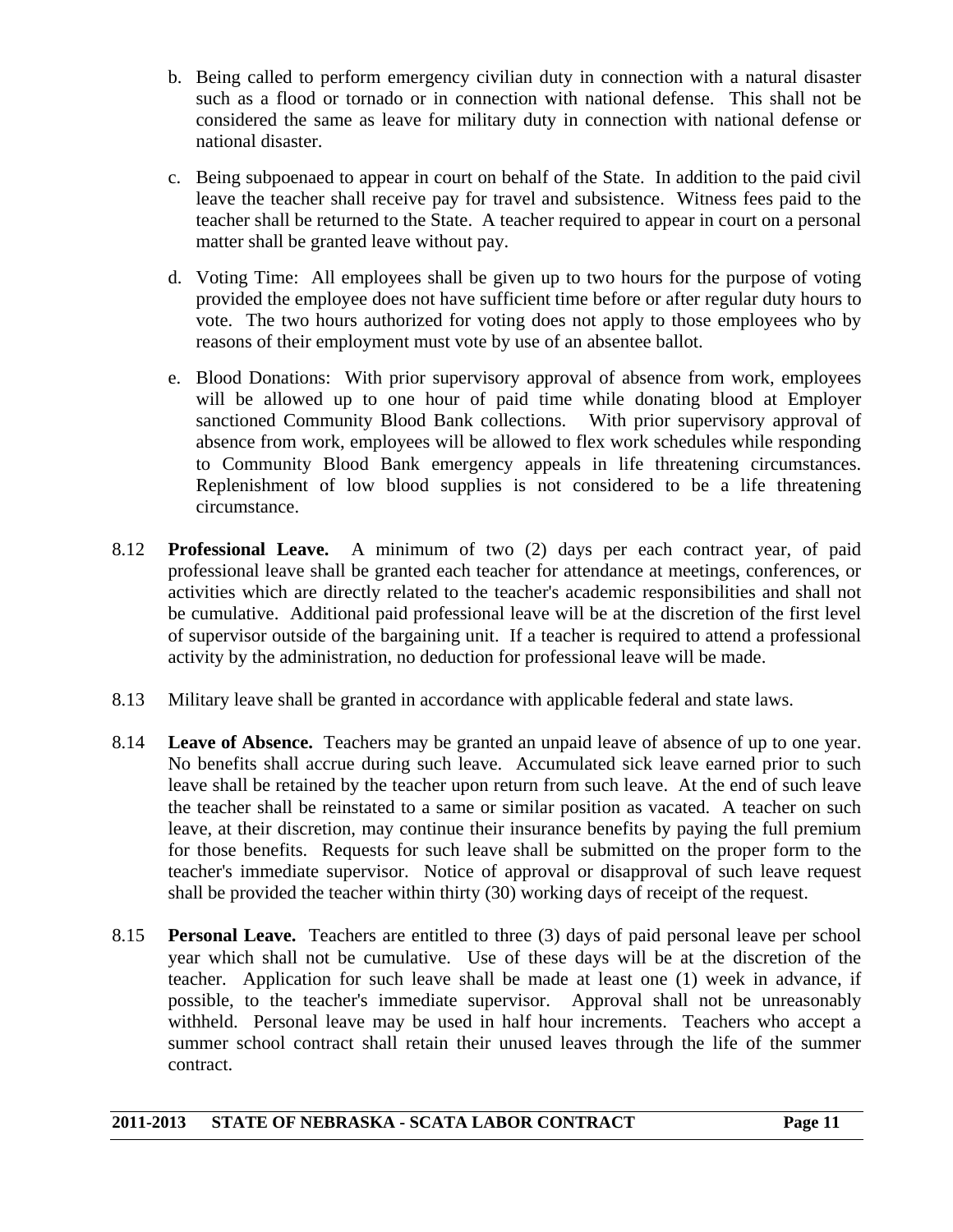- b. Being called to perform emergency civilian duty in connection with a natural disaster such as a flood or tornado or in connection with national defense. This shall not be considered the same as leave for military duty in connection with national defense or national disaster.
- c. Being subpoenaed to appear in court on behalf of the State. In addition to the paid civil leave the teacher shall receive pay for travel and subsistence. Witness fees paid to the teacher shall be returned to the State. A teacher required to appear in court on a personal matter shall be granted leave without pay.
- d. Voting Time: All employees shall be given up to two hours for the purpose of voting provided the employee does not have sufficient time before or after regular duty hours to vote. The two hours authorized for voting does not apply to those employees who by reasons of their employment must vote by use of an absentee ballot.
- e. Blood Donations: With prior supervisory approval of absence from work, employees will be allowed up to one hour of paid time while donating blood at Employer sanctioned Community Blood Bank collections. With prior supervisory approval of absence from work, employees will be allowed to flex work schedules while responding to Community Blood Bank emergency appeals in life threatening circumstances. Replenishment of low blood supplies is not considered to be a life threatening circumstance.
- 8.12 **Professional Leave.** A minimum of two (2) days per each contract year, of paid professional leave shall be granted each teacher for attendance at meetings, conferences, or activities which are directly related to the teacher's academic responsibilities and shall not be cumulative. Additional paid professional leave will be at the discretion of the first level of supervisor outside of the bargaining unit. If a teacher is required to attend a professional activity by the administration, no deduction for professional leave will be made.
- 8.13 Military leave shall be granted in accordance with applicable federal and state laws.
- 8.14 **Leave of Absence.** Teachers may be granted an unpaid leave of absence of up to one year. No benefits shall accrue during such leave. Accumulated sick leave earned prior to such leave shall be retained by the teacher upon return from such leave. At the end of such leave the teacher shall be reinstated to a same or similar position as vacated. A teacher on such leave, at their discretion, may continue their insurance benefits by paying the full premium for those benefits. Requests for such leave shall be submitted on the proper form to the teacher's immediate supervisor. Notice of approval or disapproval of such leave request shall be provided the teacher within thirty (30) working days of receipt of the request.
- 8.15 **Personal Leave.** Teachers are entitled to three (3) days of paid personal leave per school year which shall not be cumulative. Use of these days will be at the discretion of the teacher. Application for such leave shall be made at least one (1) week in advance, if possible, to the teacher's immediate supervisor. Approval shall not be unreasonably withheld. Personal leave may be used in half hour increments. Teachers who accept a summer school contract shall retain their unused leaves through the life of the summer contract.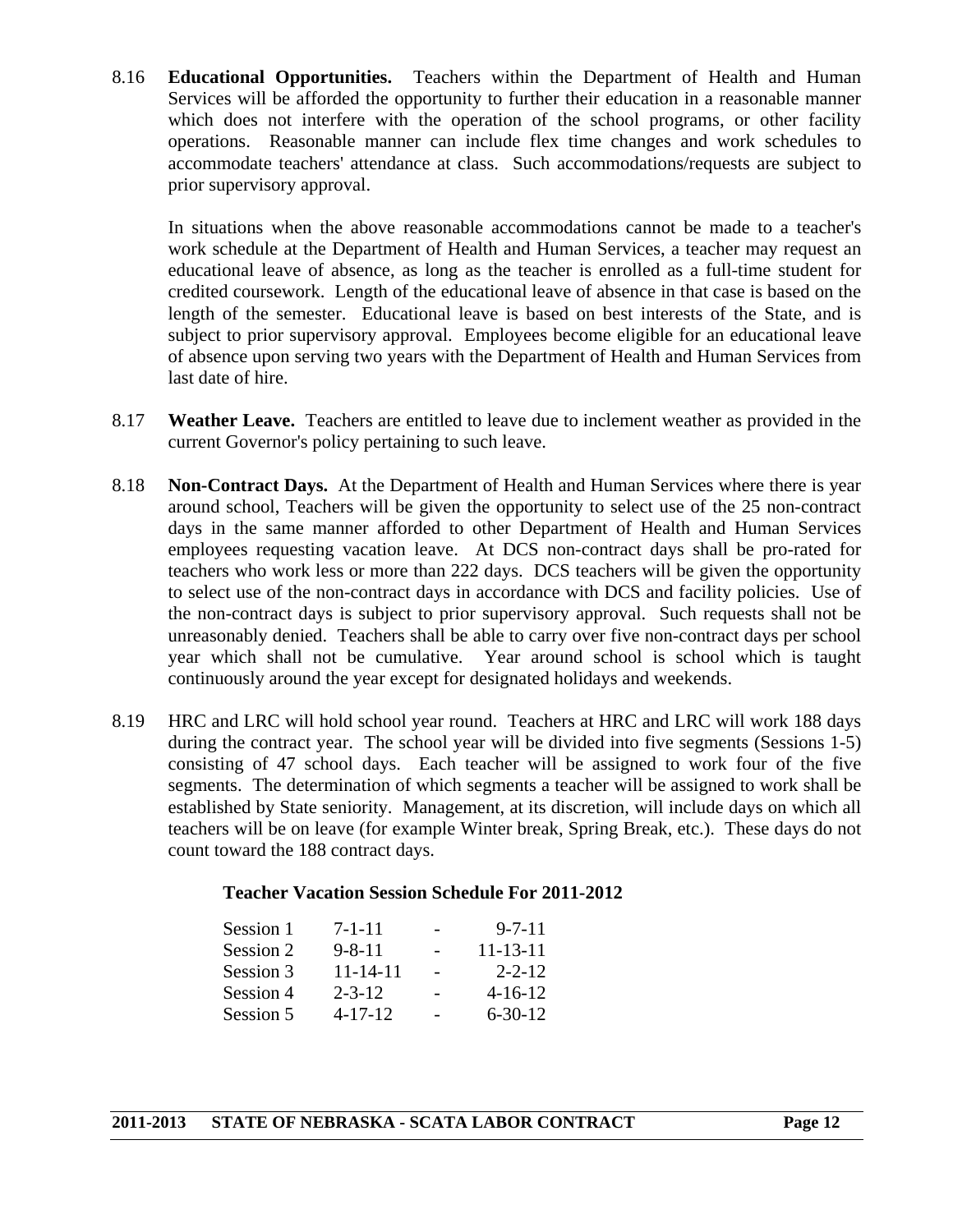8.16 **Educational Opportunities.** Teachers within the Department of Health and Human Services will be afforded the opportunity to further their education in a reasonable manner which does not interfere with the operation of the school programs, or other facility operations. Reasonable manner can include flex time changes and work schedules to accommodate teachers' attendance at class. Such accommodations/requests are subject to prior supervisory approval.

 In situations when the above reasonable accommodations cannot be made to a teacher's work schedule at the Department of Health and Human Services, a teacher may request an educational leave of absence, as long as the teacher is enrolled as a full-time student for credited coursework. Length of the educational leave of absence in that case is based on the length of the semester. Educational leave is based on best interests of the State, and is subject to prior supervisory approval. Employees become eligible for an educational leave of absence upon serving two years with the Department of Health and Human Services from last date of hire.

- 8.17 **Weather Leave.** Teachers are entitled to leave due to inclement weather as provided in the current Governor's policy pertaining to such leave.
- 8.18 **Non-Contract Days.** At the Department of Health and Human Services where there is year around school, Teachers will be given the opportunity to select use of the 25 non-contract days in the same manner afforded to other Department of Health and Human Services employees requesting vacation leave. At DCS non-contract days shall be pro-rated for teachers who work less or more than 222 days. DCS teachers will be given the opportunity to select use of the non-contract days in accordance with DCS and facility policies. Use of the non-contract days is subject to prior supervisory approval. Such requests shall not be unreasonably denied. Teachers shall be able to carry over five non-contract days per school year which shall not be cumulative. Year around school is school which is taught continuously around the year except for designated holidays and weekends.
- 8.19 HRC and LRC will hold school year round. Teachers at HRC and LRC will work 188 days during the contract year. The school year will be divided into five segments (Sessions 1-5) consisting of 47 school days. Each teacher will be assigned to work four of the five segments. The determination of which segments a teacher will be assigned to work shall be established by State seniority. Management, at its discretion, will include days on which all teachers will be on leave (for example Winter break, Spring Break, etc.). These days do not count toward the 188 contract days.

#### **Teacher Vacation Session Schedule For 2011-2012**

| Session 1 | $7 - 1 - 11$   | $9 - 7 - 11$   |
|-----------|----------------|----------------|
| Session 2 | $9 - 8 - 11$   | $11 - 13 - 11$ |
| Session 3 | $11 - 14 - 11$ | $2 - 2 - 12$   |
| Session 4 | $2 - 3 - 12$   | $4 - 16 - 12$  |
| Session 5 | $4 - 17 - 12$  | $6 - 30 - 12$  |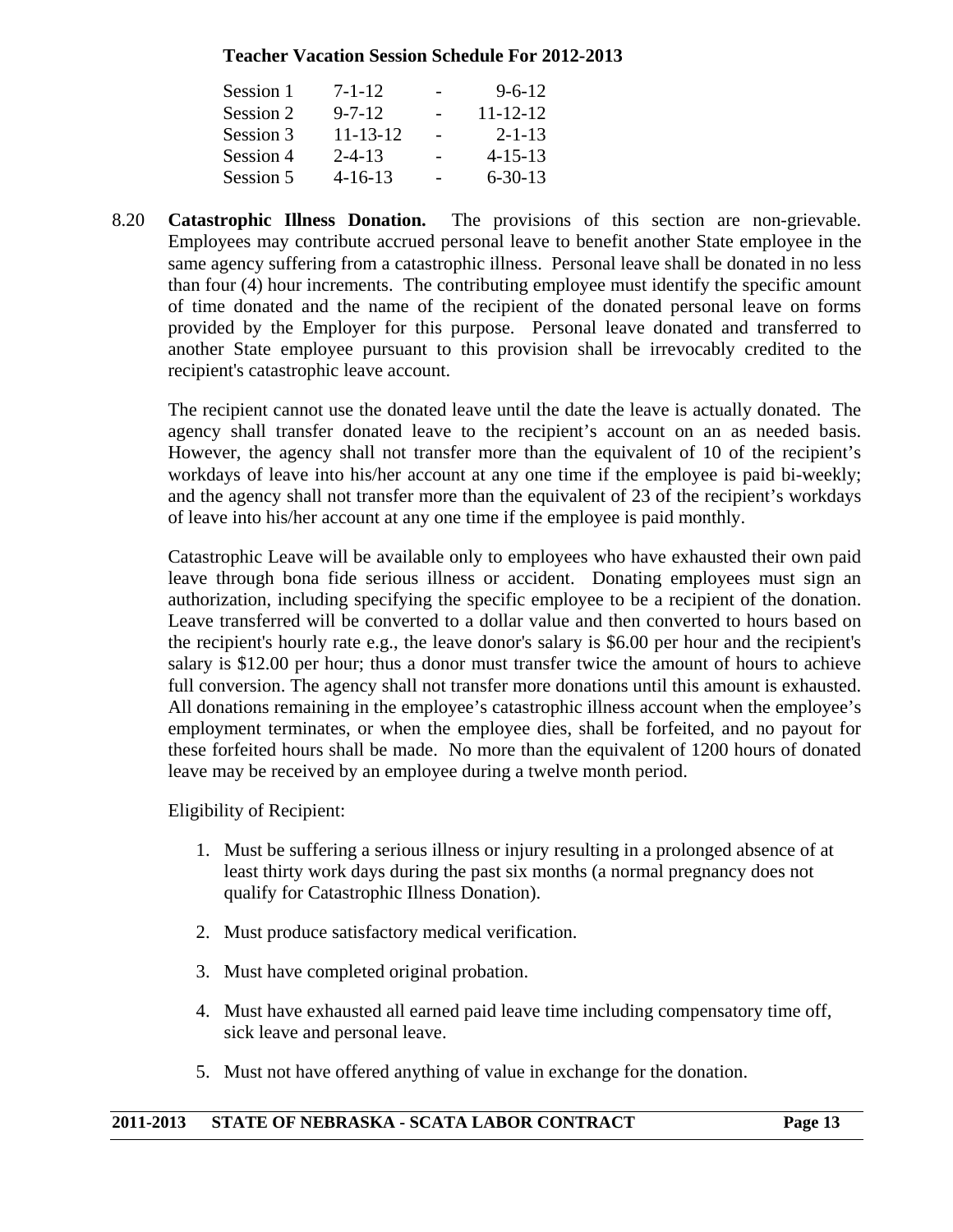#### **Teacher Vacation Session Schedule For 2012-2013**

| Session 1 | $7 - 1 - 12$   | $9 - 6 - 12$   |
|-----------|----------------|----------------|
| Session 2 | $9 - 7 - 12$   | $11 - 12 - 12$ |
| Session 3 | $11 - 13 - 12$ | $2 - 1 - 13$   |
| Session 4 | $2 - 4 - 13$   | $4 - 15 - 13$  |
| Session 5 | $4 - 16 - 13$  | $6 - 30 - 13$  |

8.20 **Catastrophic Illness Donation.** The provisions of this section are non-grievable. Employees may contribute accrued personal leave to benefit another State employee in the same agency suffering from a catastrophic illness. Personal leave shall be donated in no less than four (4) hour increments. The contributing employee must identify the specific amount of time donated and the name of the recipient of the donated personal leave on forms provided by the Employer for this purpose. Personal leave donated and transferred to another State employee pursuant to this provision shall be irrevocably credited to the recipient's catastrophic leave account.

 The recipient cannot use the donated leave until the date the leave is actually donated. The agency shall transfer donated leave to the recipient's account on an as needed basis. However, the agency shall not transfer more than the equivalent of 10 of the recipient's workdays of leave into his/her account at any one time if the employee is paid bi-weekly; and the agency shall not transfer more than the equivalent of 23 of the recipient's workdays of leave into his/her account at any one time if the employee is paid monthly.

 Catastrophic Leave will be available only to employees who have exhausted their own paid leave through bona fide serious illness or accident. Donating employees must sign an authorization, including specifying the specific employee to be a recipient of the donation. Leave transferred will be converted to a dollar value and then converted to hours based on the recipient's hourly rate e.g., the leave donor's salary is \$6.00 per hour and the recipient's salary is \$12.00 per hour; thus a donor must transfer twice the amount of hours to achieve full conversion. The agency shall not transfer more donations until this amount is exhausted. All donations remaining in the employee's catastrophic illness account when the employee's employment terminates, or when the employee dies, shall be forfeited, and no payout for these forfeited hours shall be made. No more than the equivalent of 1200 hours of donated leave may be received by an employee during a twelve month period.

Eligibility of Recipient:

- 1. Must be suffering a serious illness or injury resulting in a prolonged absence of at least thirty work days during the past six months (a normal pregnancy does not qualify for Catastrophic Illness Donation).
- 2. Must produce satisfactory medical verification.
- 3. Must have completed original probation.
- 4. Must have exhausted all earned paid leave time including compensatory time off, sick leave and personal leave.
- 5. Must not have offered anything of value in exchange for the donation.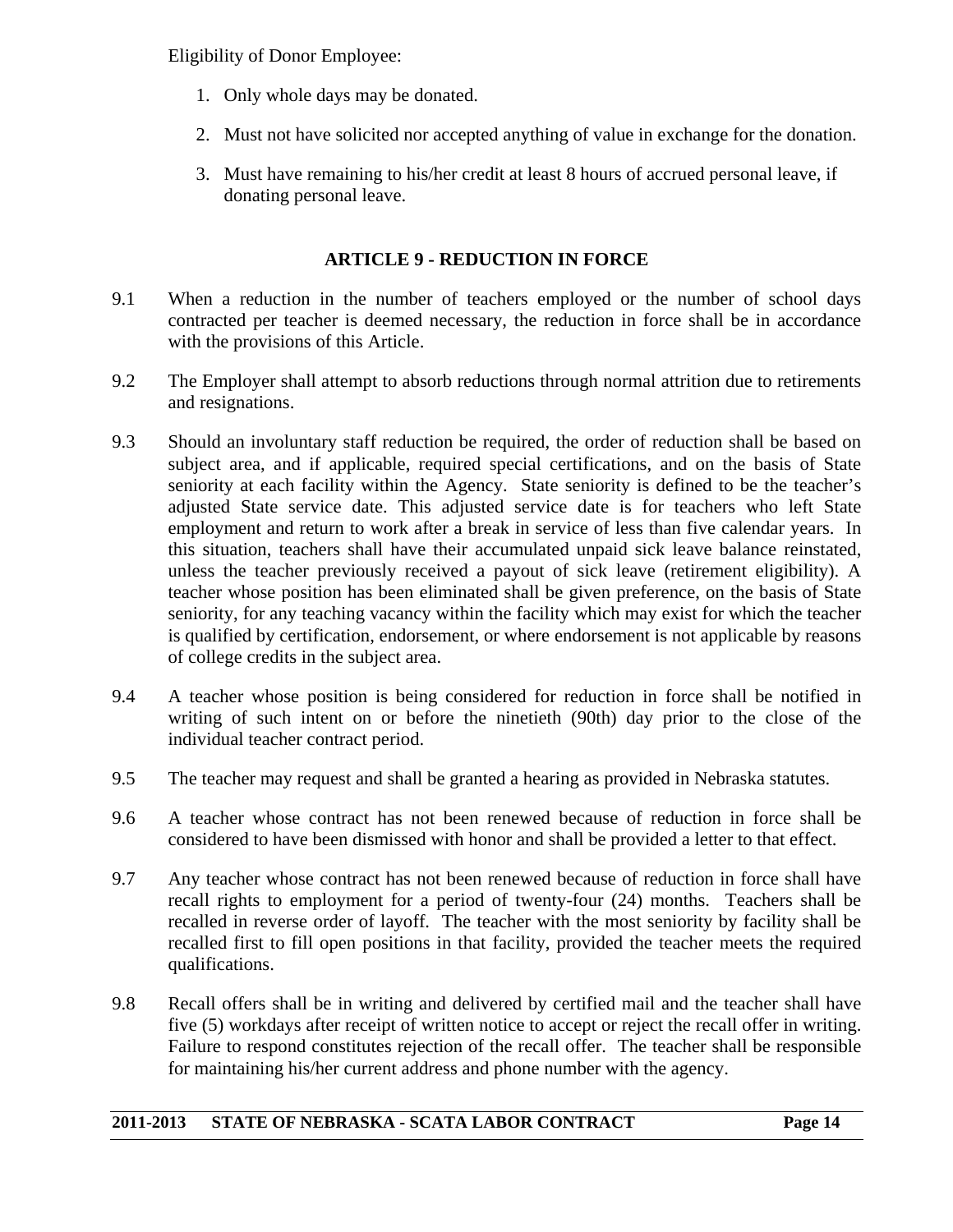Eligibility of Donor Employee:

- 1. Only whole days may be donated.
- 2. Must not have solicited nor accepted anything of value in exchange for the donation.
- 3. Must have remaining to his/her credit at least 8 hours of accrued personal leave, if donating personal leave.

#### **ARTICLE 9 - REDUCTION IN FORCE**

- 9.1 When a reduction in the number of teachers employed or the number of school days contracted per teacher is deemed necessary, the reduction in force shall be in accordance with the provisions of this Article.
- 9.2 The Employer shall attempt to absorb reductions through normal attrition due to retirements and resignations.
- 9.3 Should an involuntary staff reduction be required, the order of reduction shall be based on subject area, and if applicable, required special certifications, and on the basis of State seniority at each facility within the Agency. State seniority is defined to be the teacher's adjusted State service date. This adjusted service date is for teachers who left State employment and return to work after a break in service of less than five calendar years. In this situation, teachers shall have their accumulated unpaid sick leave balance reinstated, unless the teacher previously received a payout of sick leave (retirement eligibility). A teacher whose position has been eliminated shall be given preference, on the basis of State seniority, for any teaching vacancy within the facility which may exist for which the teacher is qualified by certification, endorsement, or where endorsement is not applicable by reasons of college credits in the subject area.
- 9.4 A teacher whose position is being considered for reduction in force shall be notified in writing of such intent on or before the ninetieth (90th) day prior to the close of the individual teacher contract period.
- 9.5 The teacher may request and shall be granted a hearing as provided in Nebraska statutes.
- 9.6 A teacher whose contract has not been renewed because of reduction in force shall be considered to have been dismissed with honor and shall be provided a letter to that effect.
- 9.7 Any teacher whose contract has not been renewed because of reduction in force shall have recall rights to employment for a period of twenty-four (24) months. Teachers shall be recalled in reverse order of layoff. The teacher with the most seniority by facility shall be recalled first to fill open positions in that facility, provided the teacher meets the required qualifications.
- 9.8 Recall offers shall be in writing and delivered by certified mail and the teacher shall have five (5) workdays after receipt of written notice to accept or reject the recall offer in writing. Failure to respond constitutes rejection of the recall offer. The teacher shall be responsible for maintaining his/her current address and phone number with the agency.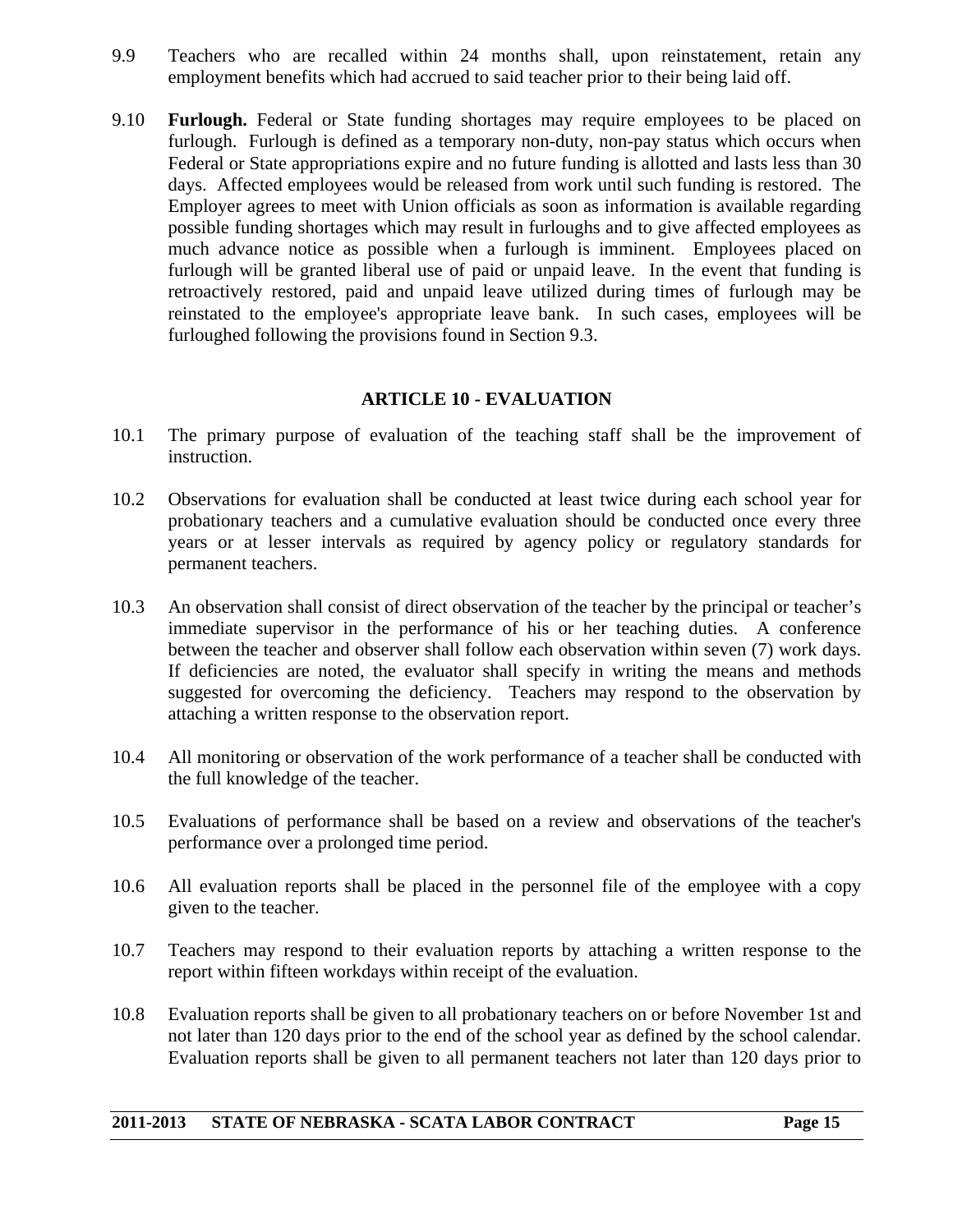- 9.9 Teachers who are recalled within 24 months shall, upon reinstatement, retain any employment benefits which had accrued to said teacher prior to their being laid off.
- 9.10 **Furlough.** Federal or State funding shortages may require employees to be placed on furlough. Furlough is defined as a temporary non-duty, non-pay status which occurs when Federal or State appropriations expire and no future funding is allotted and lasts less than 30 days. Affected employees would be released from work until such funding is restored. The Employer agrees to meet with Union officials as soon as information is available regarding possible funding shortages which may result in furloughs and to give affected employees as much advance notice as possible when a furlough is imminent. Employees placed on furlough will be granted liberal use of paid or unpaid leave. In the event that funding is retroactively restored, paid and unpaid leave utilized during times of furlough may be reinstated to the employee's appropriate leave bank. In such cases, employees will be furloughed following the provisions found in Section 9.3.

#### **ARTICLE 10 - EVALUATION**

- 10.1 The primary purpose of evaluation of the teaching staff shall be the improvement of instruction.
- 10.2 Observations for evaluation shall be conducted at least twice during each school year for probationary teachers and a cumulative evaluation should be conducted once every three years or at lesser intervals as required by agency policy or regulatory standards for permanent teachers.
- 10.3 An observation shall consist of direct observation of the teacher by the principal or teacher's immediate supervisor in the performance of his or her teaching duties. A conference between the teacher and observer shall follow each observation within seven (7) work days. If deficiencies are noted, the evaluator shall specify in writing the means and methods suggested for overcoming the deficiency. Teachers may respond to the observation by attaching a written response to the observation report.
- 10.4 All monitoring or observation of the work performance of a teacher shall be conducted with the full knowledge of the teacher.
- 10.5 Evaluations of performance shall be based on a review and observations of the teacher's performance over a prolonged time period.
- 10.6 All evaluation reports shall be placed in the personnel file of the employee with a copy given to the teacher.
- 10.7 Teachers may respond to their evaluation reports by attaching a written response to the report within fifteen workdays within receipt of the evaluation.
- 10.8 Evaluation reports shall be given to all probationary teachers on or before November 1st and not later than 120 days prior to the end of the school year as defined by the school calendar. Evaluation reports shall be given to all permanent teachers not later than 120 days prior to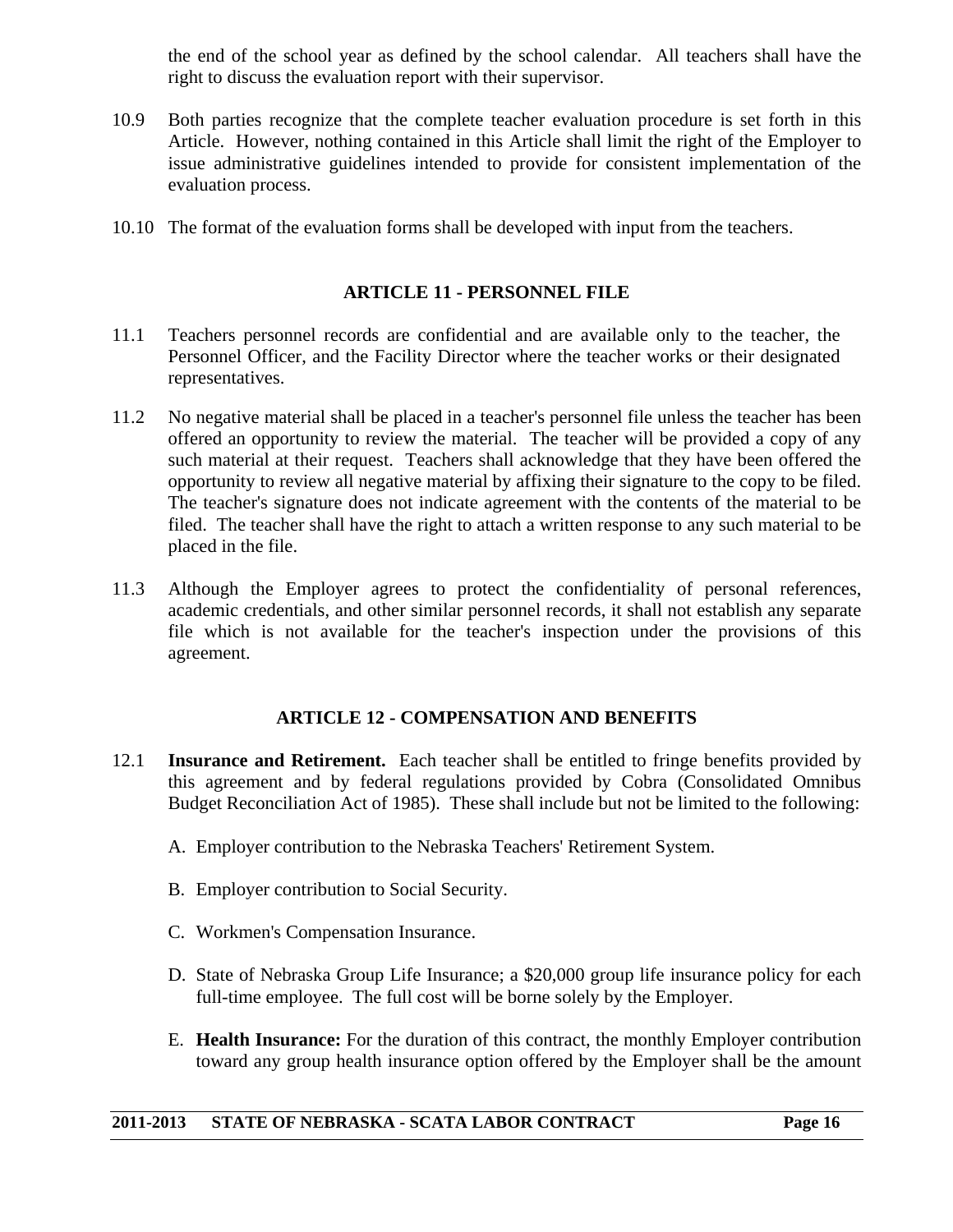the end of the school year as defined by the school calendar. All teachers shall have the right to discuss the evaluation report with their supervisor.

- 10.9 Both parties recognize that the complete teacher evaluation procedure is set forth in this Article. However, nothing contained in this Article shall limit the right of the Employer to issue administrative guidelines intended to provide for consistent implementation of the evaluation process.
- 10.10 The format of the evaluation forms shall be developed with input from the teachers.

#### **ARTICLE 11 - PERSONNEL FILE**

- 11.1 Teachers personnel records are confidential and are available only to the teacher, the Personnel Officer, and the Facility Director where the teacher works or their designated representatives.
- 11.2 No negative material shall be placed in a teacher's personnel file unless the teacher has been offered an opportunity to review the material. The teacher will be provided a copy of any such material at their request. Teachers shall acknowledge that they have been offered the opportunity to review all negative material by affixing their signature to the copy to be filed. The teacher's signature does not indicate agreement with the contents of the material to be filed. The teacher shall have the right to attach a written response to any such material to be placed in the file.
- 11.3 Although the Employer agrees to protect the confidentiality of personal references, academic credentials, and other similar personnel records, it shall not establish any separate file which is not available for the teacher's inspection under the provisions of this agreement.

#### **ARTICLE 12 - COMPENSATION AND BENEFITS**

- 12.1 **Insurance and Retirement.** Each teacher shall be entitled to fringe benefits provided by this agreement and by federal regulations provided by Cobra (Consolidated Omnibus Budget Reconciliation Act of 1985). These shall include but not be limited to the following:
	- A. Employer contribution to the Nebraska Teachers' Retirement System.
	- B. Employer contribution to Social Security.
	- C. Workmen's Compensation Insurance.
	- D. State of Nebraska Group Life Insurance; a \$20,000 group life insurance policy for each full-time employee. The full cost will be borne solely by the Employer.
	- E. **Health Insurance:** For the duration of this contract, the monthly Employer contribution toward any group health insurance option offered by the Employer shall be the amount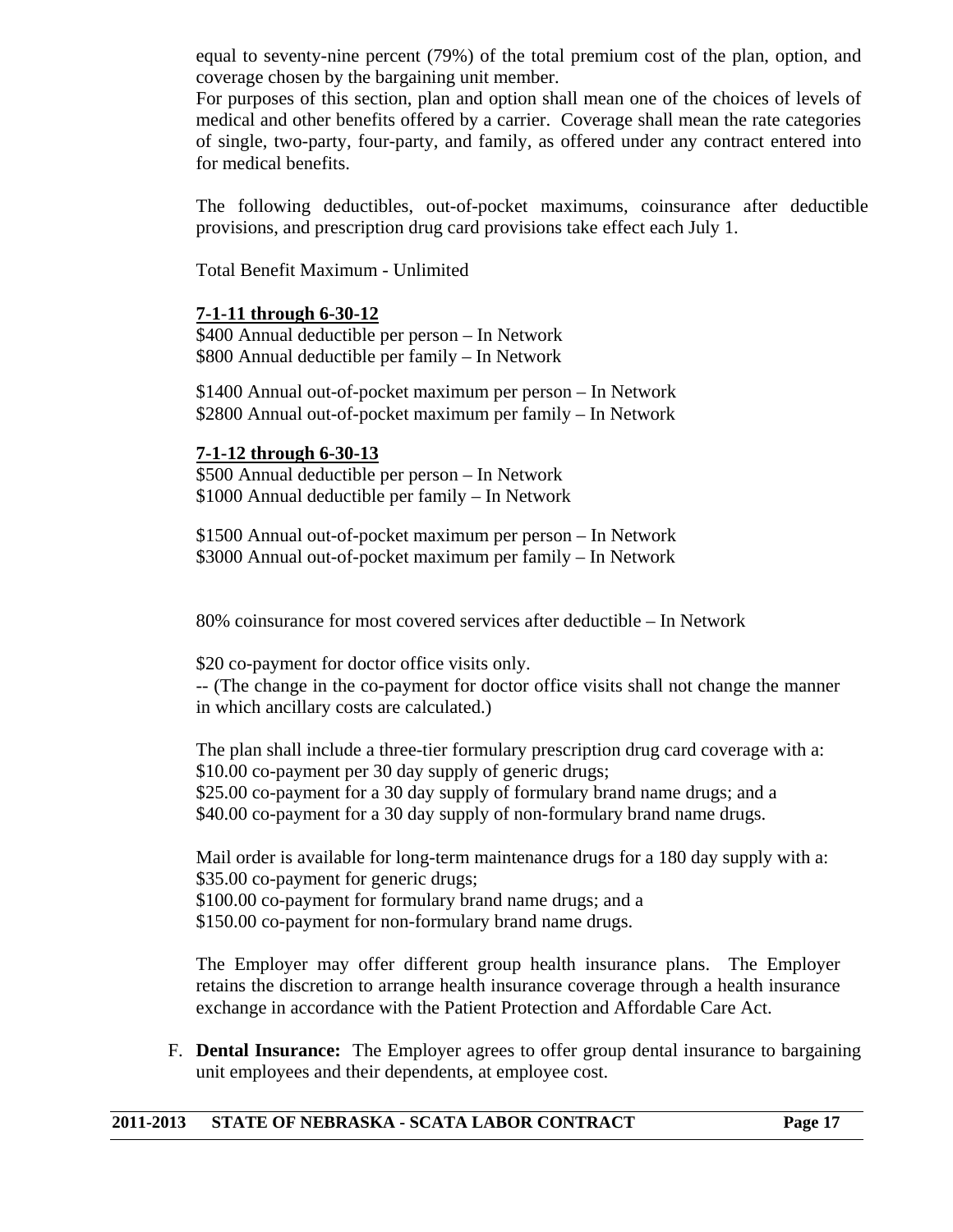equal to seventy-nine percent (79%) of the total premium cost of the plan, option, and coverage chosen by the bargaining unit member.

 For purposes of this section, plan and option shall mean one of the choices of levels of medical and other benefits offered by a carrier. Coverage shall mean the rate categories of single, two-party, four-party, and family, as offered under any contract entered into for medical benefits.

 The following deductibles, out-of-pocket maximums, coinsurance after deductible provisions, and prescription drug card provisions take effect each July 1.

Total Benefit Maximum - Unlimited

#### **7-1-11 through 6-30-12**

\$400 Annual deductible per person – In Network \$800 Annual deductible per family – In Network

\$1400 Annual out-of-pocket maximum per person – In Network \$2800 Annual out-of-pocket maximum per family – In Network

#### **7-1-12 through 6-30-13**

\$500 Annual deductible per person – In Network \$1000 Annual deductible per family – In Network

\$1500 Annual out-of-pocket maximum per person – In Network \$3000 Annual out-of-pocket maximum per family – In Network

80% coinsurance for most covered services after deductible – In Network

\$20 co-payment for doctor office visits only.

-- (The change in the co-payment for doctor office visits shall not change the manner in which ancillary costs are calculated.)

 The plan shall include a three-tier formulary prescription drug card coverage with a: \$10.00 co-payment per 30 day supply of generic drugs; \$25.00 co-payment for a 30 day supply of formulary brand name drugs; and a \$40.00 co-payment for a 30 day supply of non-formulary brand name drugs.

Mail order is available for long-term maintenance drugs for a 180 day supply with a: \$35.00 co-payment for generic drugs;

\$100.00 co-payment for formulary brand name drugs; and a

\$150.00 co-payment for non-formulary brand name drugs.

The Employer may offer different group health insurance plans. The Employer retains the discretion to arrange health insurance coverage through a health insurance exchange in accordance with the Patient Protection and Affordable Care Act.

F. **Dental Insurance:** The Employer agrees to offer group dental insurance to bargaining unit employees and their dependents, at employee cost.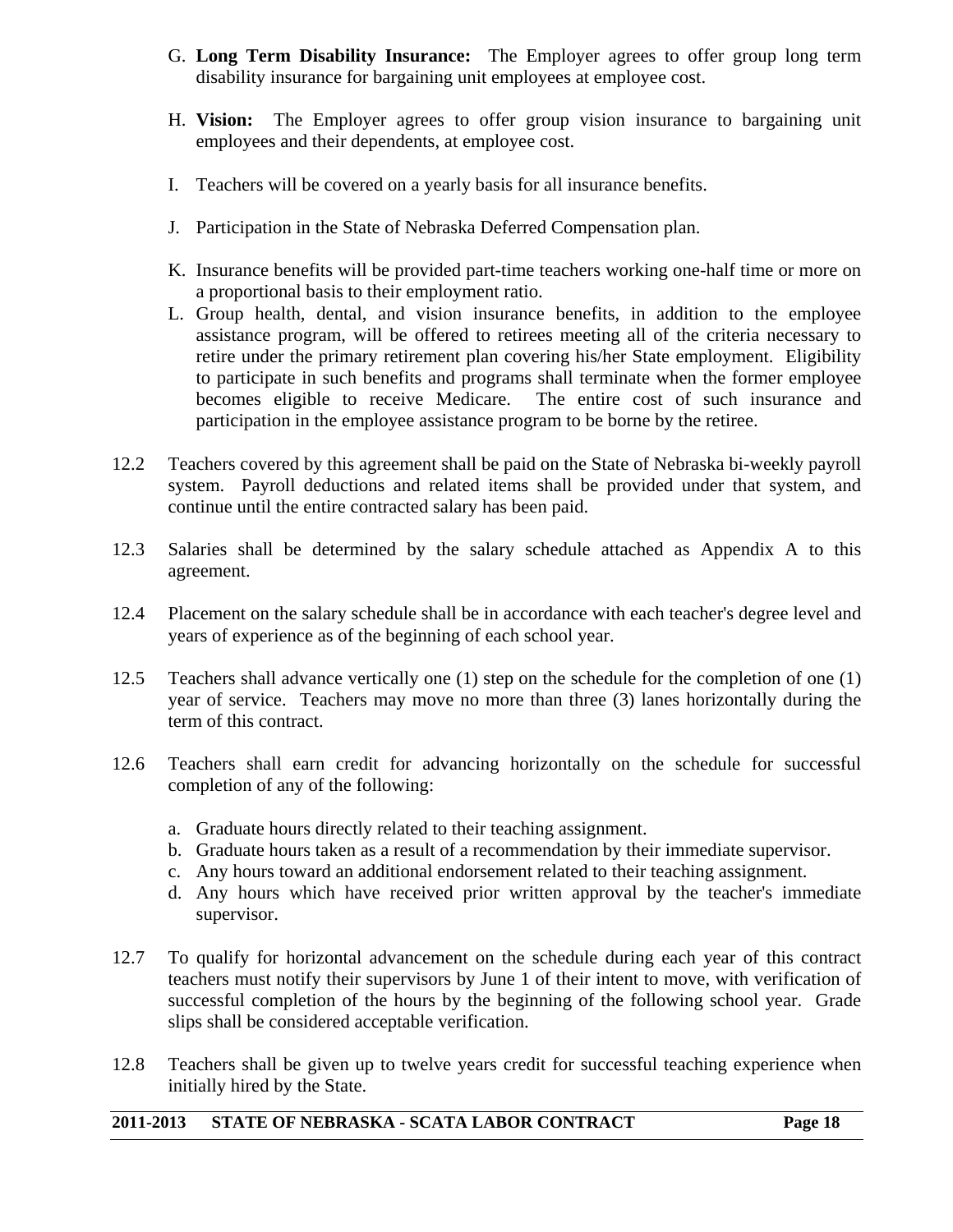- G. **Long Term Disability Insurance:** The Employer agrees to offer group long term disability insurance for bargaining unit employees at employee cost.
- H. **Vision:** The Employer agrees to offer group vision insurance to bargaining unit employees and their dependents, at employee cost.
- I. Teachers will be covered on a yearly basis for all insurance benefits.
- J. Participation in the State of Nebraska Deferred Compensation plan.
- K. Insurance benefits will be provided part-time teachers working one-half time or more on a proportional basis to their employment ratio.
- L. Group health, dental, and vision insurance benefits, in addition to the employee assistance program, will be offered to retirees meeting all of the criteria necessary to retire under the primary retirement plan covering his/her State employment. Eligibility to participate in such benefits and programs shall terminate when the former employee becomes eligible to receive Medicare. The entire cost of such insurance and participation in the employee assistance program to be borne by the retiree.
- 12.2 Teachers covered by this agreement shall be paid on the State of Nebraska bi-weekly payroll system. Payroll deductions and related items shall be provided under that system, and continue until the entire contracted salary has been paid.
- 12.3 Salaries shall be determined by the salary schedule attached as Appendix A to this agreement.
- 12.4 Placement on the salary schedule shall be in accordance with each teacher's degree level and years of experience as of the beginning of each school year.
- 12.5 Teachers shall advance vertically one (1) step on the schedule for the completion of one (1) year of service. Teachers may move no more than three (3) lanes horizontally during the term of this contract.
- 12.6 Teachers shall earn credit for advancing horizontally on the schedule for successful completion of any of the following:
	- a. Graduate hours directly related to their teaching assignment.
	- b. Graduate hours taken as a result of a recommendation by their immediate supervisor.
	- c. Any hours toward an additional endorsement related to their teaching assignment.
	- d. Any hours which have received prior written approval by the teacher's immediate supervisor.
- 12.7 To qualify for horizontal advancement on the schedule during each year of this contract teachers must notify their supervisors by June 1 of their intent to move, with verification of successful completion of the hours by the beginning of the following school year. Grade slips shall be considered acceptable verification.
- 12.8 Teachers shall be given up to twelve years credit for successful teaching experience when initially hired by the State.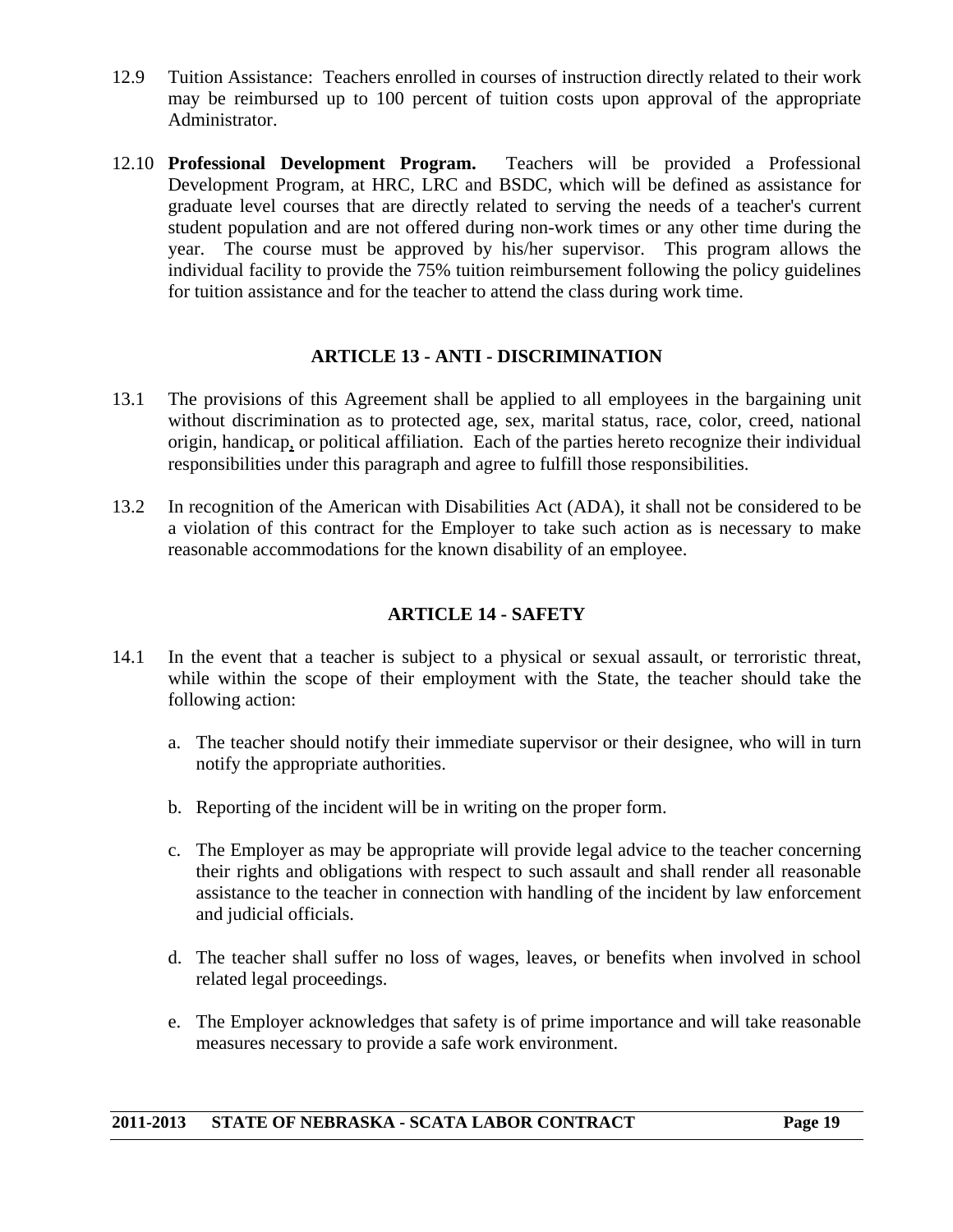- 12.9 Tuition Assistance: Teachers enrolled in courses of instruction directly related to their work may be reimbursed up to 100 percent of tuition costs upon approval of the appropriate Administrator.
- 12.10 **Professional Development Program.** Teachers will be provided a Professional Development Program, at HRC, LRC and BSDC, which will be defined as assistance for graduate level courses that are directly related to serving the needs of a teacher's current student population and are not offered during non-work times or any other time during the year. The course must be approved by his/her supervisor. This program allows the individual facility to provide the 75% tuition reimbursement following the policy guidelines for tuition assistance and for the teacher to attend the class during work time.

#### **ARTICLE 13 - ANTI - DISCRIMINATION**

- 13.1 The provisions of this Agreement shall be applied to all employees in the bargaining unit without discrimination as to protected age, sex, marital status, race, color, creed, national origin, handicap, or political affiliation. Each of the parties hereto recognize their individual responsibilities under this paragraph and agree to fulfill those responsibilities.
- 13.2 In recognition of the American with Disabilities Act (ADA), it shall not be considered to be a violation of this contract for the Employer to take such action as is necessary to make reasonable accommodations for the known disability of an employee.

#### **ARTICLE 14 - SAFETY**

- 14.1 In the event that a teacher is subject to a physical or sexual assault, or terroristic threat, while within the scope of their employment with the State, the teacher should take the following action:
	- a. The teacher should notify their immediate supervisor or their designee, who will in turn notify the appropriate authorities.
	- b. Reporting of the incident will be in writing on the proper form.
	- c. The Employer as may be appropriate will provide legal advice to the teacher concerning their rights and obligations with respect to such assault and shall render all reasonable assistance to the teacher in connection with handling of the incident by law enforcement and judicial officials.
	- d. The teacher shall suffer no loss of wages, leaves, or benefits when involved in school related legal proceedings.
	- e. The Employer acknowledges that safety is of prime importance and will take reasonable measures necessary to provide a safe work environment.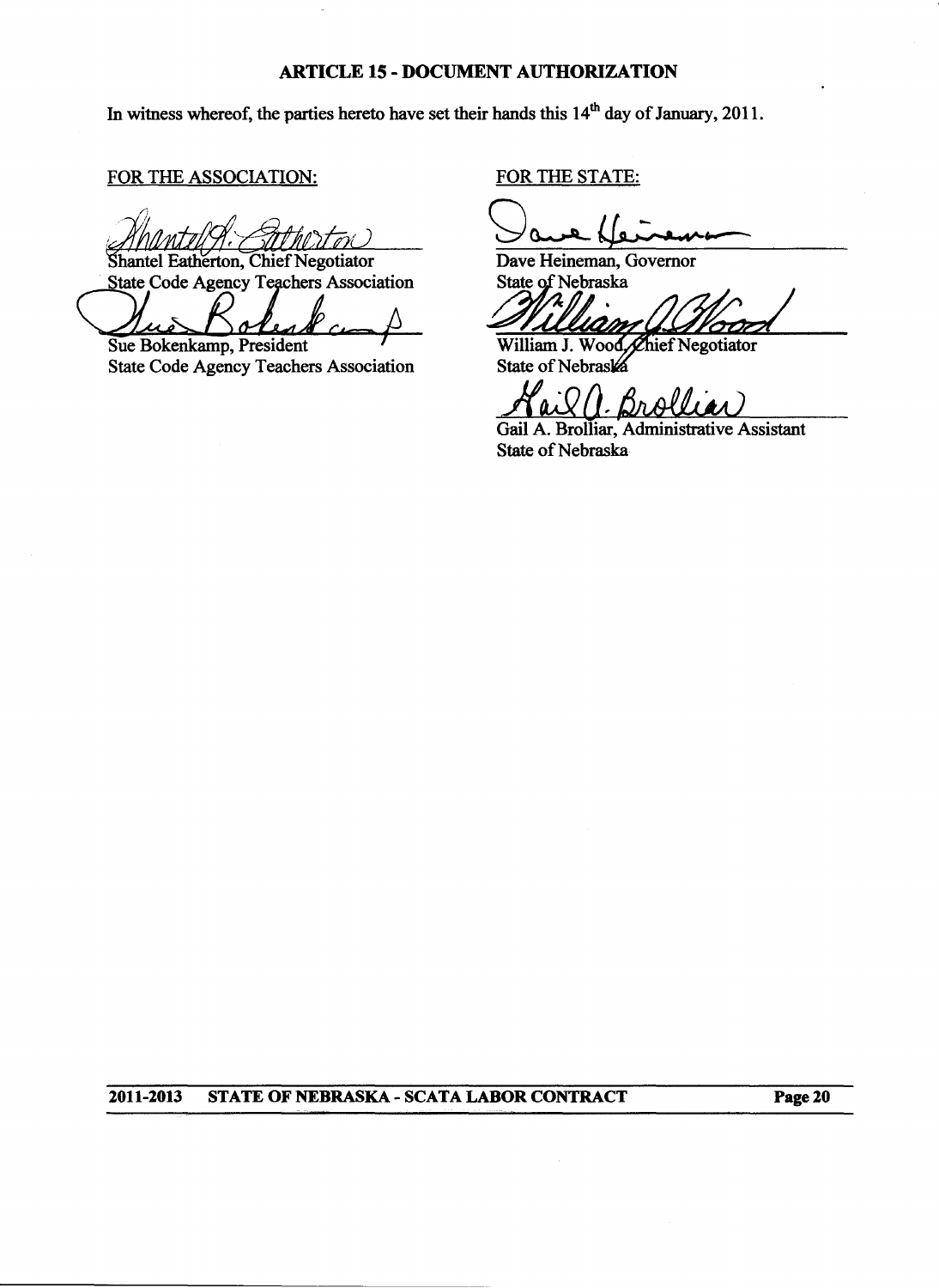#### **ARTICLE 15 - DOCUMENT AUTHORIZATION**

In witness whereof, the parties hereto have set their hands this 14<sup>th</sup> day of January, 2011.

FOR THE ASSOCIATION:

Shantel Eatherton, Chief Negotiator

State Code Agency Teachers Association

Sue Bokenkamp, President **State Code Agency Teachers Association** 

FOR THE STATE:

Dave Heineman, Governor State of Nebraska

William J. Wood, Chief Negotiator<br>State of Nebraska

Bralli  $\cdot$  O

Gail A. Brolliar, Administrative Assistant State of Nebraska

2011-2013 STATE OF NEBRASKA - SCATA LABOR CONTRACT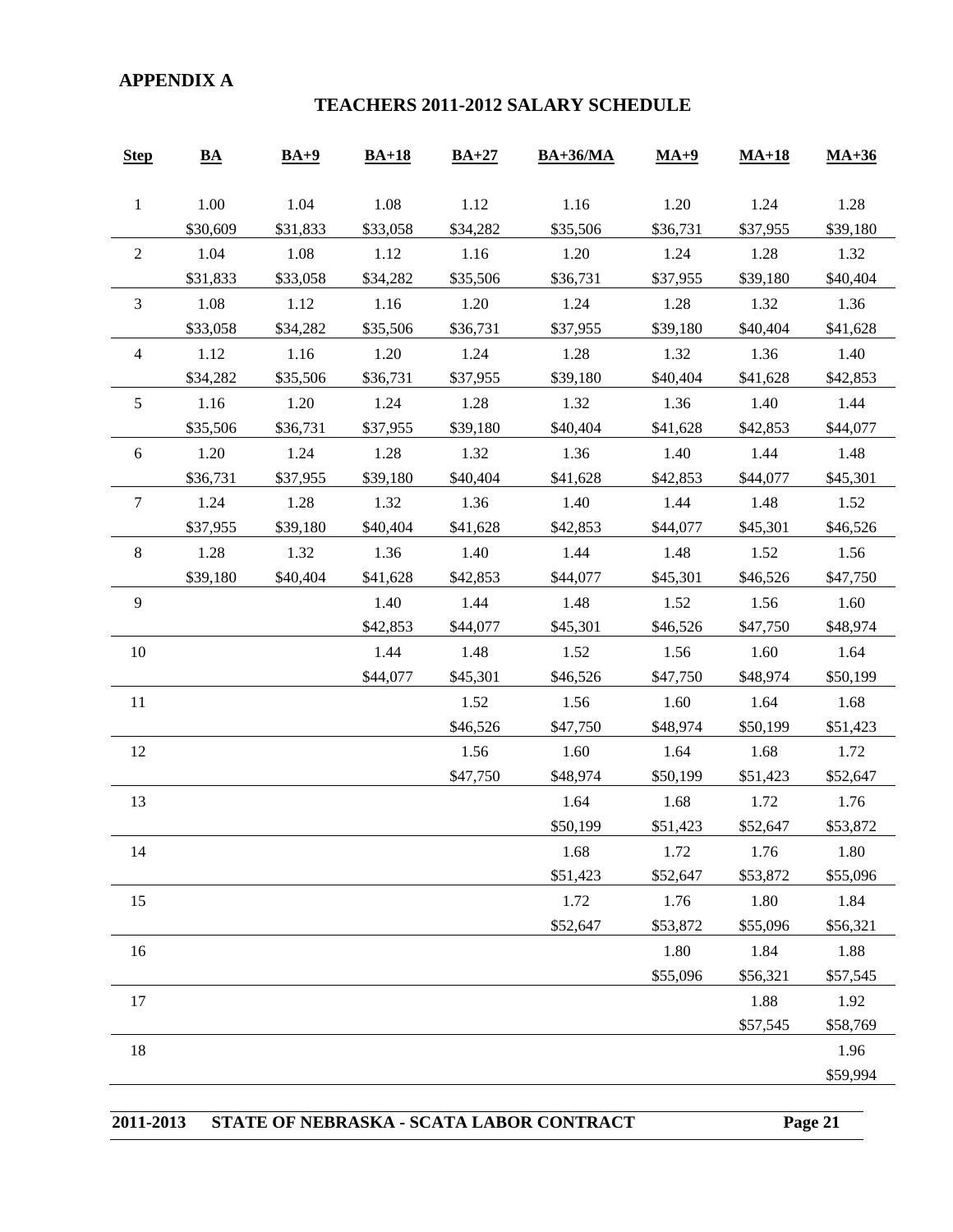#### **APPENDIX A**

#### **TEACHERS 2011-2012 SALARY SCHEDULE**

| <b>Step</b>      | $\underline{\mathbf{BA}}$ | $BA+9$   | $BA+18$  | $BA+27$  | $BA+36/MA$ | $MA+9$   | $MA+18$  | $MA+36$  |
|------------------|---------------------------|----------|----------|----------|------------|----------|----------|----------|
| $\mathbf{1}$     | 1.00                      | 1.04     | 1.08     | 1.12     | 1.16       | 1.20     | 1.24     | 1.28     |
|                  | \$30,609                  | \$31,833 | \$33,058 | \$34,282 | \$35,506   | \$36,731 | \$37,955 | \$39,180 |
| $\sqrt{2}$       | 1.04                      | 1.08     | 1.12     | 1.16     | 1.20       | 1.24     | 1.28     | 1.32     |
|                  | \$31,833                  | \$33,058 | \$34,282 | \$35,506 | \$36,731   | \$37,955 | \$39,180 | \$40,404 |
| 3                | 1.08                      | 1.12     | 1.16     | 1.20     | 1.24       | 1.28     | 1.32     | 1.36     |
|                  | \$33,058                  | \$34,282 | \$35,506 | \$36,731 | \$37,955   | \$39,180 | \$40,404 | \$41,628 |
| $\overline{4}$   | 1.12                      | 1.16     | 1.20     | 1.24     | 1.28       | 1.32     | 1.36     | 1.40     |
|                  | \$34,282                  | \$35,506 | \$36,731 | \$37,955 | \$39,180   | \$40,404 | \$41,628 | \$42,853 |
| 5                | 1.16                      | 1.20     | 1.24     | 1.28     | 1.32       | 1.36     | 1.40     | 1.44     |
|                  | \$35,506                  | \$36,731 | \$37,955 | \$39,180 | \$40,404   | \$41,628 | \$42,853 | \$44,077 |
| $\boldsymbol{6}$ | 1.20                      | 1.24     | 1.28     | 1.32     | 1.36       | 1.40     | 1.44     | 1.48     |
|                  | \$36,731                  | \$37,955 | \$39,180 | \$40,404 | \$41,628   | \$42,853 | \$44,077 | \$45,301 |
| $\tau$           | 1.24                      | 1.28     | 1.32     | 1.36     | 1.40       | 1.44     | 1.48     | 1.52     |
|                  | \$37,955                  | \$39,180 | \$40,404 | \$41,628 | \$42,853   | \$44,077 | \$45,301 | \$46,526 |
| $\,8\,$          | 1.28                      | 1.32     | 1.36     | 1.40     | 1.44       | 1.48     | 1.52     | 1.56     |
|                  | \$39,180                  | \$40,404 | \$41,628 | \$42,853 | \$44,077   | \$45,301 | \$46,526 | \$47,750 |
| $\overline{9}$   |                           |          | 1.40     | 1.44     | 1.48       | 1.52     | 1.56     | 1.60     |
|                  |                           |          | \$42,853 | \$44,077 | \$45,301   | \$46,526 | \$47,750 | \$48,974 |
| 10               |                           |          | 1.44     | 1.48     | 1.52       | 1.56     | 1.60     | 1.64     |
|                  |                           |          | \$44,077 | \$45,301 | \$46,526   | \$47,750 | \$48,974 | \$50,199 |
| 11               |                           |          |          | 1.52     | 1.56       | 1.60     | 1.64     | 1.68     |
|                  |                           |          |          | \$46,526 | \$47,750   | \$48,974 | \$50,199 | \$51,423 |
| 12               |                           |          |          | 1.56     | 1.60       | 1.64     | 1.68     | 1.72     |
|                  |                           |          |          | \$47,750 | \$48,974   | \$50,199 | \$51,423 | \$52,647 |
| 13               |                           |          |          |          | 1.64       | 1.68     | 1.72     | 1.76     |
|                  |                           |          |          |          | \$50,199   | \$51,423 | \$52,647 | \$53,872 |
| 14               |                           |          |          |          | 1.68       | 1.72     | 1.76     | 1.80     |
|                  |                           |          |          |          | \$51,423   | \$52,647 | \$53,872 | \$55,096 |
| 15               |                           |          |          |          | 1.72       | 1.76     | 1.80     | 1.84     |
|                  |                           |          |          |          | \$52,647   | \$53,872 | \$55,096 | \$56,321 |
| 16               |                           |          |          |          |            | 1.80     | 1.84     | 1.88     |
|                  |                           |          |          |          |            | \$55,096 | \$56,321 | \$57,545 |
| 17               |                           |          |          |          |            |          | 1.88     | 1.92     |
|                  |                           |          |          |          |            |          | \$57,545 | \$58,769 |
| 18               |                           |          |          |          |            |          |          | 1.96     |
|                  |                           |          |          |          |            |          |          | \$59,994 |

|  |  | 2011-2013 STATE OF NEBRASKA - SCATA LABOR CONTRACT | Page 21 |
|--|--|----------------------------------------------------|---------|
|--|--|----------------------------------------------------|---------|